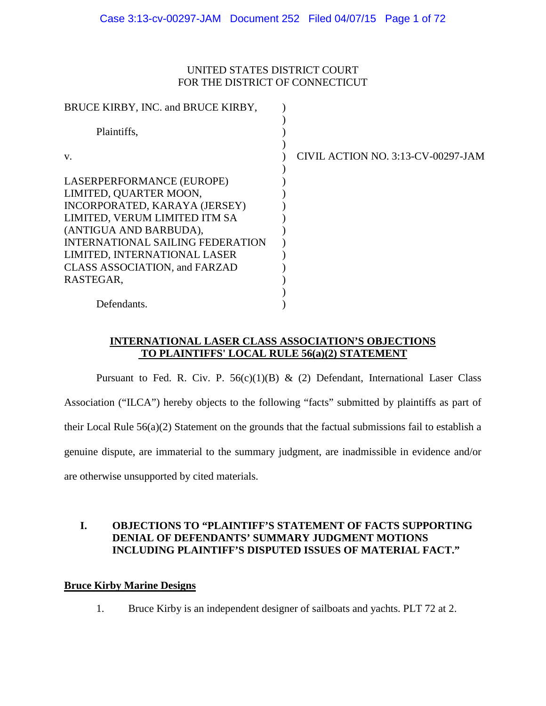### UNITED STATES DISTRICT COURT FOR THE DISTRICT OF CONNECTICUT

| CIVIL ACTION NO. 3:13-CV-00297-JAM |
|------------------------------------|
|                                    |
|                                    |
|                                    |
|                                    |
|                                    |
|                                    |
|                                    |
|                                    |
|                                    |
|                                    |
|                                    |
|                                    |

### **INTERNATIONAL LASER CLASS ASSOCIATION'S OBJECTIONS TO PLAINTIFFS' LOCAL RULE 56(a)(2) STATEMENT**

Pursuant to Fed. R. Civ. P.  $56(c)(1)(B)$  & (2) Defendant, International Laser Class Association ("ILCA") hereby objects to the following "facts" submitted by plaintiffs as part of their Local Rule 56(a)(2) Statement on the grounds that the factual submissions fail to establish a genuine dispute, are immaterial to the summary judgment, are inadmissible in evidence and/or are otherwise unsupported by cited materials.

### **I. OBJECTIONS TO "PLAINTIFF'S STATEMENT OF FACTS SUPPORTING DENIAL OF DEFENDANTS' SUMMARY JUDGMENT MOTIONS INCLUDING PLAINTIFF'S DISPUTED ISSUES OF MATERIAL FACT."**

### **Bruce Kirby Marine Designs**

1. Bruce Kirby is an independent designer of sailboats and yachts. PLT 72 at 2.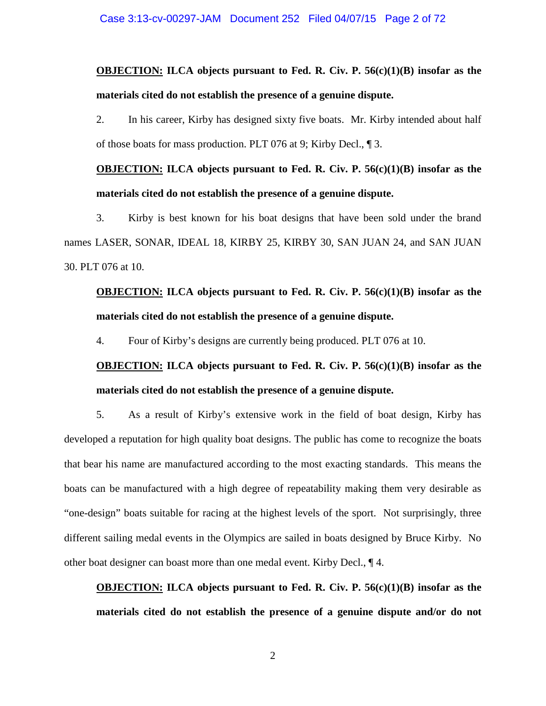**OBJECTION: ILCA objects pursuant to Fed. R. Civ. P. 56(c)(1)(B) insofar as the materials cited do not establish the presence of a genuine dispute.** 

2. In his career, Kirby has designed sixty five boats. Mr. Kirby intended about half of those boats for mass production. PLT 076 at 9; Kirby Decl., ¶ 3.

**OBJECTION: ILCA objects pursuant to Fed. R. Civ. P. 56(c)(1)(B) insofar as the materials cited do not establish the presence of a genuine dispute.** 

3. Kirby is best known for his boat designs that have been sold under the brand names LASER, SONAR, IDEAL 18, KIRBY 25, KIRBY 30, SAN JUAN 24, and SAN JUAN 30. PLT 076 at 10.

# **OBJECTION: ILCA objects pursuant to Fed. R. Civ. P. 56(c)(1)(B) insofar as the materials cited do not establish the presence of a genuine dispute.**

4. Four of Kirby's designs are currently being produced. PLT 076 at 10.

### **OBJECTION: ILCA objects pursuant to Fed. R. Civ. P. 56(c)(1)(B) insofar as the materials cited do not establish the presence of a genuine dispute.**

5. As a result of Kirby's extensive work in the field of boat design, Kirby has developed a reputation for high quality boat designs. The public has come to recognize the boats that bear his name are manufactured according to the most exacting standards. This means the boats can be manufactured with a high degree of repeatability making them very desirable as "one-design" boats suitable for racing at the highest levels of the sport. Not surprisingly, three different sailing medal events in the Olympics are sailed in boats designed by Bruce Kirby. No other boat designer can boast more than one medal event. Kirby Decl., ¶ 4.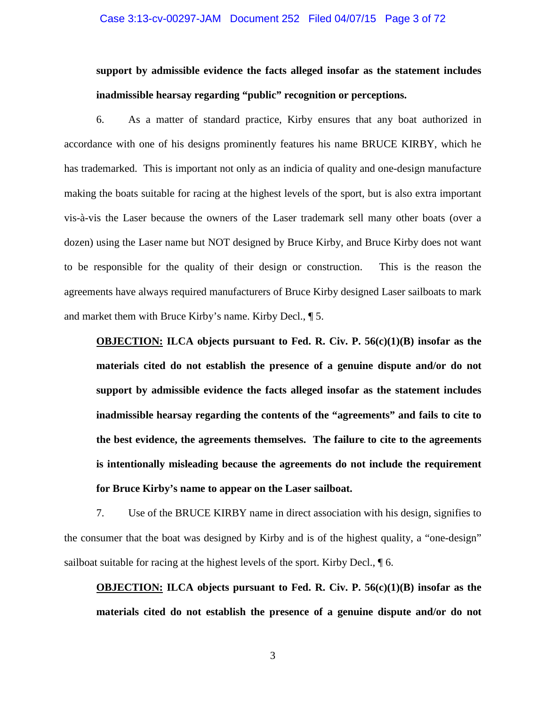#### Case 3:13-cv-00297-JAM Document 252 Filed 04/07/15 Page 3 of 72

# **support by admissible evidence the facts alleged insofar as the statement includes inadmissible hearsay regarding "public" recognition or perceptions.**

6. As a matter of standard practice, Kirby ensures that any boat authorized in accordance with one of his designs prominently features his name BRUCE KIRBY, which he has trademarked. This is important not only as an indicia of quality and one-design manufacture making the boats suitable for racing at the highest levels of the sport, but is also extra important vis-à-vis the Laser because the owners of the Laser trademark sell many other boats (over a dozen) using the Laser name but NOT designed by Bruce Kirby, and Bruce Kirby does not want to be responsible for the quality of their design or construction. This is the reason the agreements have always required manufacturers of Bruce Kirby designed Laser sailboats to mark and market them with Bruce Kirby's name. Kirby Decl., ¶ 5.

**OBJECTION: ILCA objects pursuant to Fed. R. Civ. P. 56(c)(1)(B) insofar as the materials cited do not establish the presence of a genuine dispute and/or do not support by admissible evidence the facts alleged insofar as the statement includes inadmissible hearsay regarding the contents of the "agreements" and fails to cite to the best evidence, the agreements themselves. The failure to cite to the agreements is intentionally misleading because the agreements do not include the requirement for Bruce Kirby's name to appear on the Laser sailboat.** 

7. Use of the BRUCE KIRBY name in direct association with his design, signifies to the consumer that the boat was designed by Kirby and is of the highest quality, a "one-design" sailboat suitable for racing at the highest levels of the sport. Kirby Decl., ¶ 6.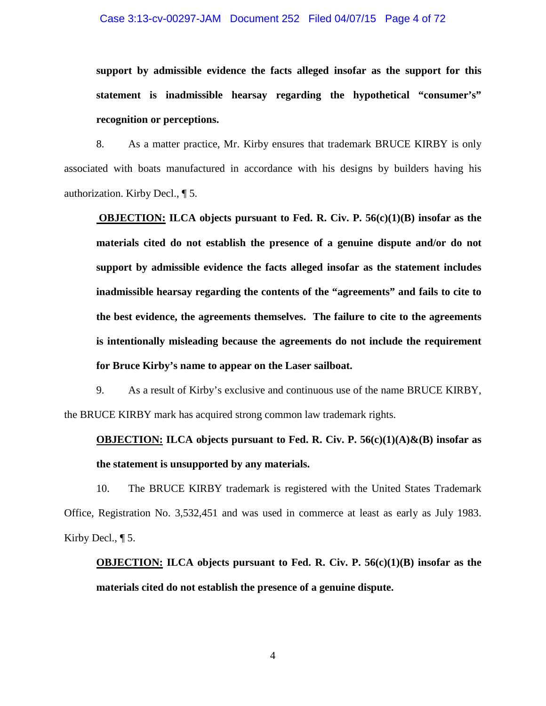#### Case 3:13-cv-00297-JAM Document 252 Filed 04/07/15 Page 4 of 72

**support by admissible evidence the facts alleged insofar as the support for this statement is inadmissible hearsay regarding the hypothetical "consumer's" recognition or perceptions.** 

8. As a matter practice, Mr. Kirby ensures that trademark BRUCE KIRBY is only associated with boats manufactured in accordance with his designs by builders having his authorization. Kirby Decl., ¶ 5.

**OBJECTION: ILCA objects pursuant to Fed. R. Civ. P. 56(c)(1)(B) insofar as the materials cited do not establish the presence of a genuine dispute and/or do not support by admissible evidence the facts alleged insofar as the statement includes inadmissible hearsay regarding the contents of the "agreements" and fails to cite to the best evidence, the agreements themselves. The failure to cite to the agreements is intentionally misleading because the agreements do not include the requirement for Bruce Kirby's name to appear on the Laser sailboat.** 

9. As a result of Kirby's exclusive and continuous use of the name BRUCE KIRBY, the BRUCE KIRBY mark has acquired strong common law trademark rights.

### **OBJECTION: ILCA** objects pursuant to Fed. R. Civ. P.  $56(c)(1)(A) \& (B)$  insofar as **the statement is unsupported by any materials.**

10. The BRUCE KIRBY trademark is registered with the United States Trademark Office, Registration No. 3,532,451 and was used in commerce at least as early as July 1983. Kirby Decl.,  $\P$  5.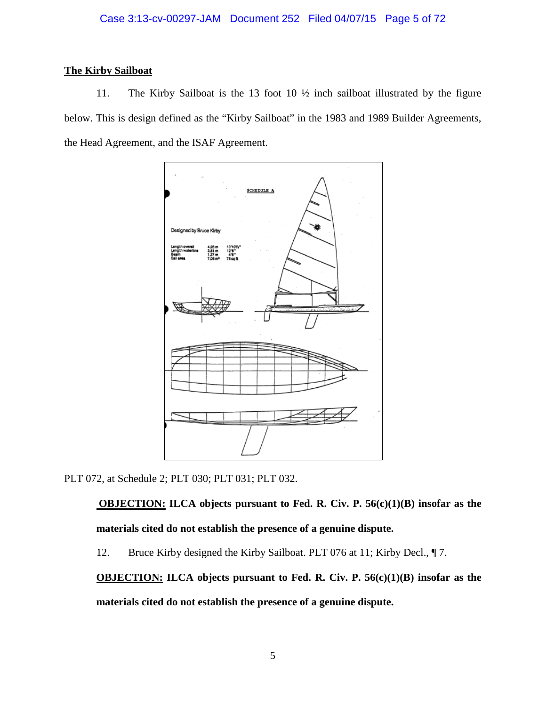### **The Kirby Sailboat**

11. The Kirby Sailboat is the 13 foot 10 ½ inch sailboat illustrated by the figure below. This is design defined as the "Kirby Sailboat" in the 1983 and 1989 Builder Agreements, the Head Agreement, and the ISAF Agreement.



PLT 072, at Schedule 2; PLT 030; PLT 031; PLT 032.

**OBJECTION: ILCA objects pursuant to Fed. R. Civ. P. 56(c)(1)(B) insofar as the materials cited do not establish the presence of a genuine dispute.** 

12. Bruce Kirby designed the Kirby Sailboat. PLT 076 at 11; Kirby Decl.,  $\P$ 7.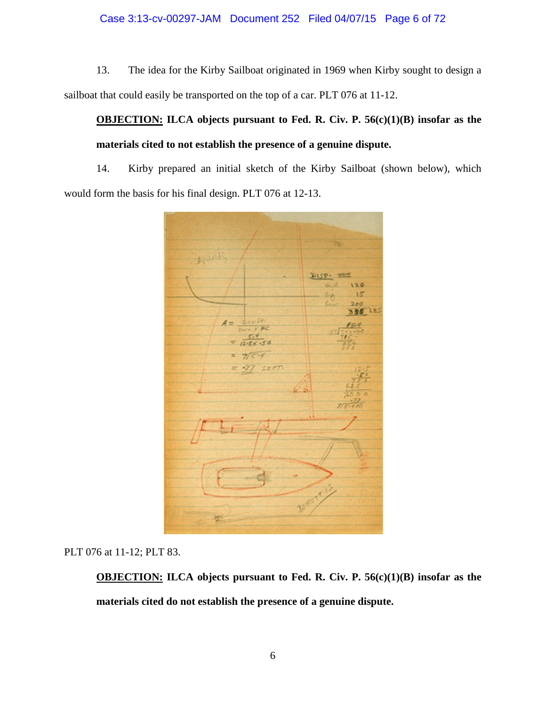### Case 3:13-cv-00297-JAM Document 252 Filed 04/07/15 Page 6 of 72

13. The idea for the Kirby Sailboat originated in 1969 when Kirby sought to design a sailboat that could easily be transported on the top of a car. PLT 076 at 11-12.

# **OBJECTION: ILCA objects pursuant to Fed. R. Civ. P. 56(c)(1)(B) insofar as the materials cited to not establish the presence of a genuine dispute.**

14. Kirby prepared an initial sketch of the Kirby Sailboat (shown below), which would form the basis for his final design. PLT 076 at 12-13.



PLT 076 at 11-12; PLT 83.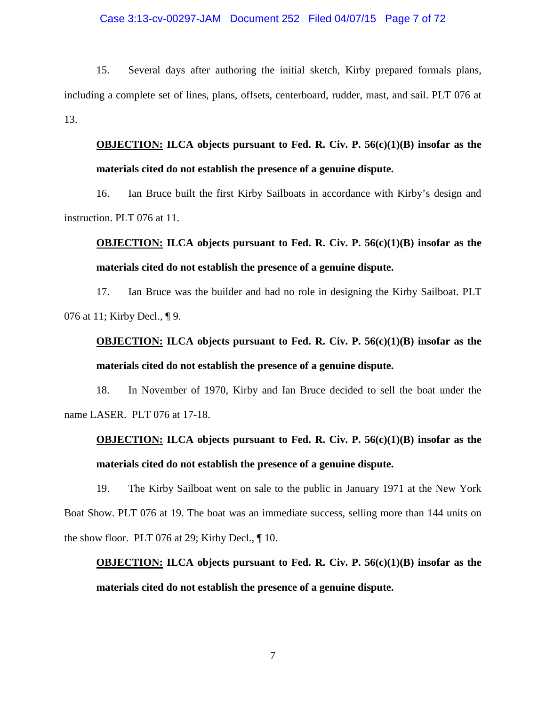#### Case 3:13-cv-00297-JAM Document 252 Filed 04/07/15 Page 7 of 72

15. Several days after authoring the initial sketch, Kirby prepared formals plans, including a complete set of lines, plans, offsets, centerboard, rudder, mast, and sail. PLT 076 at 13.

# **OBJECTION: ILCA objects pursuant to Fed. R. Civ. P. 56(c)(1)(B) insofar as the materials cited do not establish the presence of a genuine dispute.**

16. Ian Bruce built the first Kirby Sailboats in accordance with Kirby's design and instruction. PLT 076 at 11.

### **OBJECTION: ILCA objects pursuant to Fed. R. Civ. P. 56(c)(1)(B) insofar as the materials cited do not establish the presence of a genuine dispute.**

17. Ian Bruce was the builder and had no role in designing the Kirby Sailboat. PLT 076 at 11; Kirby Decl., ¶ 9.

### **OBJECTION: ILCA objects pursuant to Fed. R. Civ. P. 56(c)(1)(B) insofar as the materials cited do not establish the presence of a genuine dispute.**

18. In November of 1970, Kirby and Ian Bruce decided to sell the boat under the name LASER. PLT 076 at 17-18.

# **OBJECTION: ILCA objects pursuant to Fed. R. Civ. P. 56(c)(1)(B) insofar as the materials cited do not establish the presence of a genuine dispute.**

19. The Kirby Sailboat went on sale to the public in January 1971 at the New York Boat Show. PLT 076 at 19. The boat was an immediate success, selling more than 144 units on the show floor. PLT 076 at 29; Kirby Decl., ¶ 10.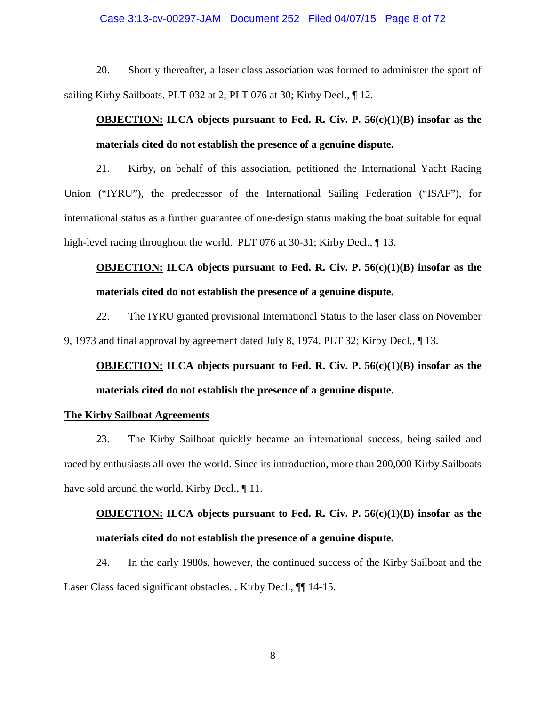#### Case 3:13-cv-00297-JAM Document 252 Filed 04/07/15 Page 8 of 72

20. Shortly thereafter, a laser class association was formed to administer the sport of sailing Kirby Sailboats. PLT 032 at 2; PLT 076 at 30; Kirby Decl., 112.

### **OBJECTION: ILCA objects pursuant to Fed. R. Civ. P. 56(c)(1)(B) insofar as the materials cited do not establish the presence of a genuine dispute.**

21. Kirby, on behalf of this association, petitioned the International Yacht Racing Union ("IYRU"), the predecessor of the International Sailing Federation ("ISAF"), for international status as a further guarantee of one-design status making the boat suitable for equal high-level racing throughout the world. PLT 076 at 30-31; Kirby Decl., 13.

### **OBJECTION: ILCA objects pursuant to Fed. R. Civ. P. 56(c)(1)(B) insofar as the materials cited do not establish the presence of a genuine dispute.**

22. The IYRU granted provisional International Status to the laser class on November 9, 1973 and final approval by agreement dated July 8, 1974. PLT 32; Kirby Decl., ¶ 13.

**OBJECTION: ILCA objects pursuant to Fed. R. Civ. P. 56(c)(1)(B) insofar as the materials cited do not establish the presence of a genuine dispute.** 

#### **The Kirby Sailboat Agreements**

23. The Kirby Sailboat quickly became an international success, being sailed and raced by enthusiasts all over the world. Since its introduction, more than 200,000 Kirby Sailboats have sold around the world. Kirby Decl.,  $\P$  11.

# **OBJECTION: ILCA objects pursuant to Fed. R. Civ. P. 56(c)(1)(B) insofar as the materials cited do not establish the presence of a genuine dispute.**

24. In the early 1980s, however, the continued success of the Kirby Sailboat and the Laser Class faced significant obstacles. . Kirby Decl., ¶¶ 14-15.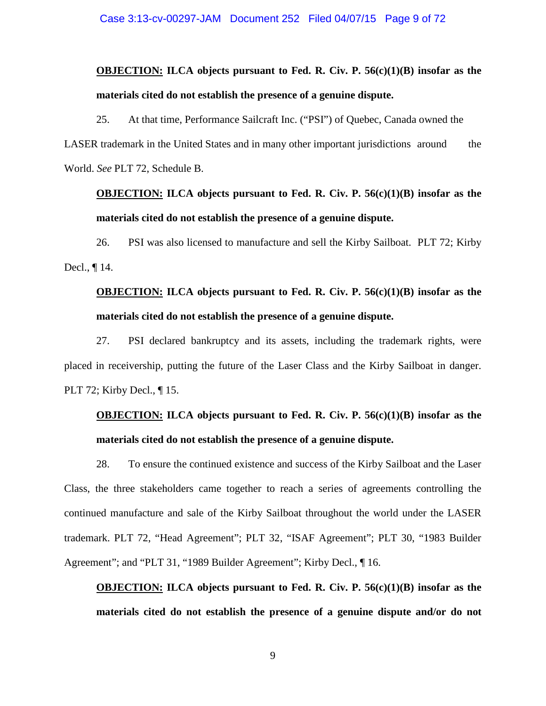# **OBJECTION: ILCA objects pursuant to Fed. R. Civ. P. 56(c)(1)(B) insofar as the materials cited do not establish the presence of a genuine dispute.**

25. At that time, Performance Sailcraft Inc. ("PSI") of Quebec, Canada owned the LASER trademark in the United States and in many other important jurisdictions around the World. *See* PLT 72, Schedule B.

### **OBJECTION: ILCA objects pursuant to Fed. R. Civ. P. 56(c)(1)(B) insofar as the materials cited do not establish the presence of a genuine dispute.**

26. PSI was also licensed to manufacture and sell the Kirby Sailboat. PLT 72; Kirby Decl., ¶ 14.

# **OBJECTION: ILCA objects pursuant to Fed. R. Civ. P. 56(c)(1)(B) insofar as the materials cited do not establish the presence of a genuine dispute.**

27. PSI declared bankruptcy and its assets, including the trademark rights, were placed in receivership, putting the future of the Laser Class and the Kirby Sailboat in danger. PLT 72; Kirby Decl., ¶ 15.

### **OBJECTION: ILCA objects pursuant to Fed. R. Civ. P. 56(c)(1)(B) insofar as the materials cited do not establish the presence of a genuine dispute.**

28. To ensure the continued existence and success of the Kirby Sailboat and the Laser Class, the three stakeholders came together to reach a series of agreements controlling the continued manufacture and sale of the Kirby Sailboat throughout the world under the LASER trademark. PLT 72, "Head Agreement"; PLT 32, "ISAF Agreement"; PLT 30, "1983 Builder Agreement"; and "PLT 31, "1989 Builder Agreement"; Kirby Decl., ¶16.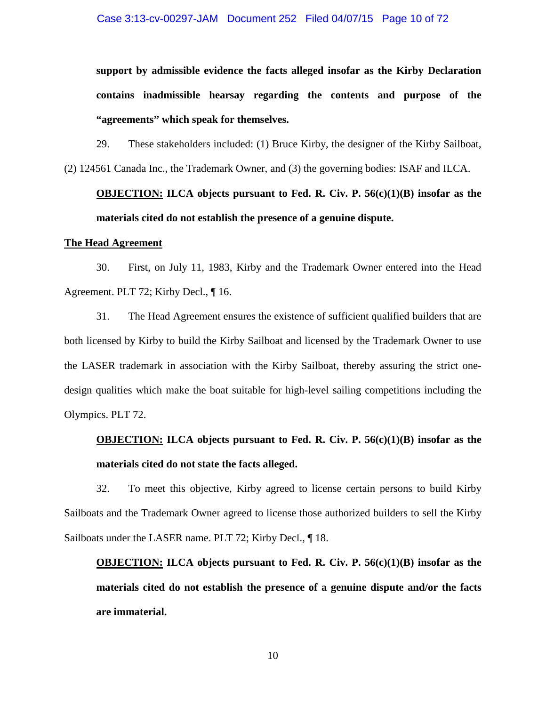**support by admissible evidence the facts alleged insofar as the Kirby Declaration contains inadmissible hearsay regarding the contents and purpose of the "agreements" which speak for themselves.** 

29. These stakeholders included: (1) Bruce Kirby, the designer of the Kirby Sailboat, (2) 124561 Canada Inc., the Trademark Owner, and (3) the governing bodies: ISAF and ILCA.

# **OBJECTION: ILCA objects pursuant to Fed. R. Civ. P. 56(c)(1)(B) insofar as the materials cited do not establish the presence of a genuine dispute.**

#### **The Head Agreement**

30. First, on July 11, 1983, Kirby and the Trademark Owner entered into the Head Agreement. PLT 72; Kirby Decl., ¶ 16.

31. The Head Agreement ensures the existence of sufficient qualified builders that are both licensed by Kirby to build the Kirby Sailboat and licensed by the Trademark Owner to use the LASER trademark in association with the Kirby Sailboat, thereby assuring the strict onedesign qualities which make the boat suitable for high-level sailing competitions including the Olympics. PLT 72.

# **OBJECTION: ILCA objects pursuant to Fed. R. Civ. P. 56(c)(1)(B) insofar as the materials cited do not state the facts alleged.**

32. To meet this objective, Kirby agreed to license certain persons to build Kirby Sailboats and the Trademark Owner agreed to license those authorized builders to sell the Kirby Sailboats under the LASER name. PLT 72; Kirby Decl., ¶ 18.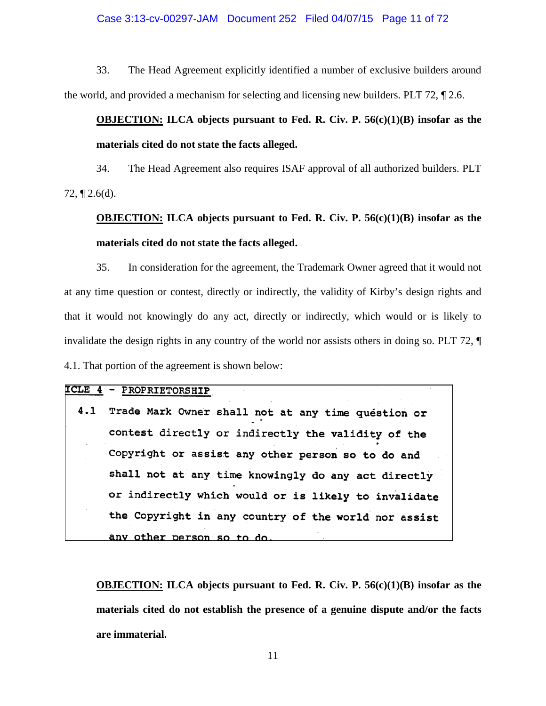#### Case 3:13-cv-00297-JAM Document 252 Filed 04/07/15 Page 11 of 72

33. The Head Agreement explicitly identified a number of exclusive builders around the world, and provided a mechanism for selecting and licensing new builders. PLT 72, ¶ 2.6.

### **OBJECTION: ILCA objects pursuant to Fed. R. Civ. P. 56(c)(1)(B) insofar as the materials cited do not state the facts alleged.**

34. The Head Agreement also requires ISAF approval of all authorized builders. PLT 72,  $\P$  2.6(d).

# **OBJECTION: ILCA objects pursuant to Fed. R. Civ. P. 56(c)(1)(B) insofar as the materials cited do not state the facts alleged.**

35. In consideration for the agreement, the Trademark Owner agreed that it would not at any time question or contest, directly or indirectly, the validity of Kirby's design rights and that it would not knowingly do any act, directly or indirectly, which would or is likely to invalidate the design rights in any country of the world nor assists others in doing so. PLT 72, ¶ 4.1. That portion of the agreement is shown below:

| ICLE 4 - PROPRIETORSHIP                                |
|--------------------------------------------------------|
| 4.1 Trade Mark Owner shall not at any time question or |
| contest directly or indirectly the validity of the     |
| Copyright or assist any other person so to do and      |
| shall not at any time knowingly do any act directly    |
| or indirectly which would or is likely to invalidate   |
| the Copyright in any country of the world nor assist   |
| any other person so to do.                             |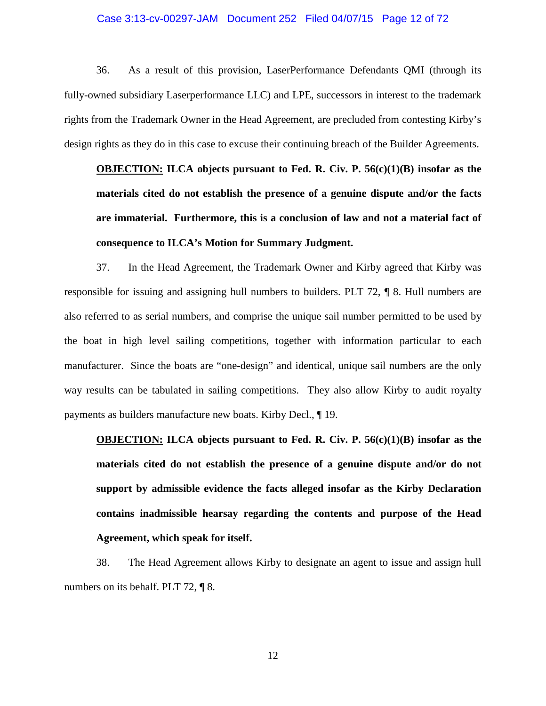#### Case 3:13-cv-00297-JAM Document 252 Filed 04/07/15 Page 12 of 72

36. As a result of this provision, LaserPerformance Defendants QMI (through its fully-owned subsidiary Laserperformance LLC) and LPE, successors in interest to the trademark rights from the Trademark Owner in the Head Agreement, are precluded from contesting Kirby's design rights as they do in this case to excuse their continuing breach of the Builder Agreements.

**OBJECTION: ILCA objects pursuant to Fed. R. Civ. P. 56(c)(1)(B) insofar as the materials cited do not establish the presence of a genuine dispute and/or the facts are immaterial. Furthermore, this is a conclusion of law and not a material fact of consequence to ILCA's Motion for Summary Judgment.** 

37. In the Head Agreement, the Trademark Owner and Kirby agreed that Kirby was responsible for issuing and assigning hull numbers to builders. PLT 72, ¶ 8. Hull numbers are also referred to as serial numbers, and comprise the unique sail number permitted to be used by the boat in high level sailing competitions, together with information particular to each manufacturer. Since the boats are "one-design" and identical, unique sail numbers are the only way results can be tabulated in sailing competitions. They also allow Kirby to audit royalty payments as builders manufacture new boats. Kirby Decl., ¶ 19.

**OBJECTION: ILCA objects pursuant to Fed. R. Civ. P. 56(c)(1)(B) insofar as the materials cited do not establish the presence of a genuine dispute and/or do not support by admissible evidence the facts alleged insofar as the Kirby Declaration contains inadmissible hearsay regarding the contents and purpose of the Head Agreement, which speak for itself.** 

38. The Head Agreement allows Kirby to designate an agent to issue and assign hull numbers on its behalf. PLT 72, ¶ 8.

12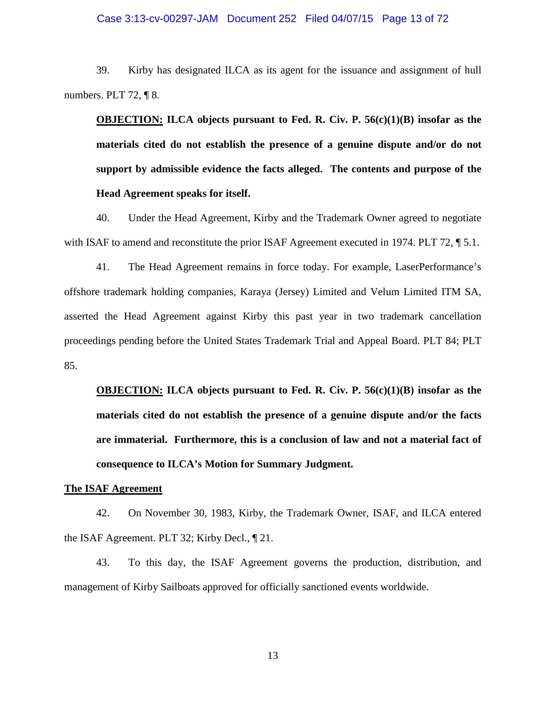### Case 3:13-cv-00297-JAM Document 252 Filed 04/07/15 Page 13 of 72

39. Kirby has designated ILCA as its agent for the issuance and assignment of hull numbers. PLT 72, ¶ 8.

**OBJECTION: ILCA objects pursuant to Fed. R. Civ. P. 56(c)(1)(B) insofar as the materials cited do not establish the presence of a genuine dispute and/or do not support by admissible evidence the facts alleged. The contents and purpose of the Head Agreement speaks for itself.** 

40. Under the Head Agreement, Kirby and the Trademark Owner agreed to negotiate with ISAF to amend and reconstitute the prior ISAF Agreement executed in 1974. PLT 72, \test 5.1.

41. The Head Agreement remains in force today. For example, LaserPerformance's offshore trademark holding companies, Karaya (Jersey) Limited and Velum Limited ITM SA, asserted the Head Agreement against Kirby this past year in two trademark cancellation proceedings pending before the United States Trademark Trial and Appeal Board. PLT 84; PLT 85.

**OBJECTION: ILCA objects pursuant to Fed. R. Civ. P. 56(c)(1)(B) insofar as the materials cited do not establish the presence of a genuine dispute and/or the facts are immaterial. Furthermore, this is a conclusion of law and not a material fact of consequence to ILCA's Motion for Summary Judgment.** 

#### **The ISAF Agreement**

42. On November 30, 1983, Kirby, the Trademark Owner, ISAF, and ILCA entered the ISAF Agreement. PLT 32; Kirby Decl., ¶ 21.

43. To this day, the ISAF Agreement governs the production, distribution, and management of Kirby Sailboats approved for officially sanctioned events worldwide.

13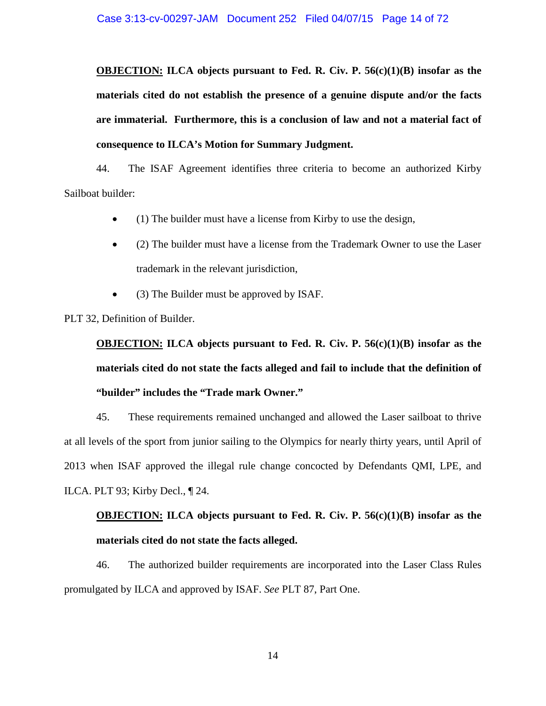**OBJECTION: ILCA objects pursuant to Fed. R. Civ. P. 56(c)(1)(B) insofar as the materials cited do not establish the presence of a genuine dispute and/or the facts are immaterial. Furthermore, this is a conclusion of law and not a material fact of consequence to ILCA's Motion for Summary Judgment.** 

44. The ISAF Agreement identifies three criteria to become an authorized Kirby Sailboat builder:

- (1) The builder must have a license from Kirby to use the design,
- (2) The builder must have a license from the Trademark Owner to use the Laser trademark in the relevant jurisdiction,
- (3) The Builder must be approved by ISAF.

PLT 32, Definition of Builder.

**OBJECTION: ILCA objects pursuant to Fed. R. Civ. P. 56(c)(1)(B) insofar as the materials cited do not state the facts alleged and fail to include that the definition of "builder" includes the "Trade mark Owner."** 

45. These requirements remained unchanged and allowed the Laser sailboat to thrive at all levels of the sport from junior sailing to the Olympics for nearly thirty years, until April of 2013 when ISAF approved the illegal rule change concocted by Defendants QMI, LPE, and ILCA. PLT 93; Kirby Decl., ¶ 24.

# **OBJECTION: ILCA objects pursuant to Fed. R. Civ. P. 56(c)(1)(B) insofar as the materials cited do not state the facts alleged.**

46. The authorized builder requirements are incorporated into the Laser Class Rules promulgated by ILCA and approved by ISAF. *See* PLT 87, Part One.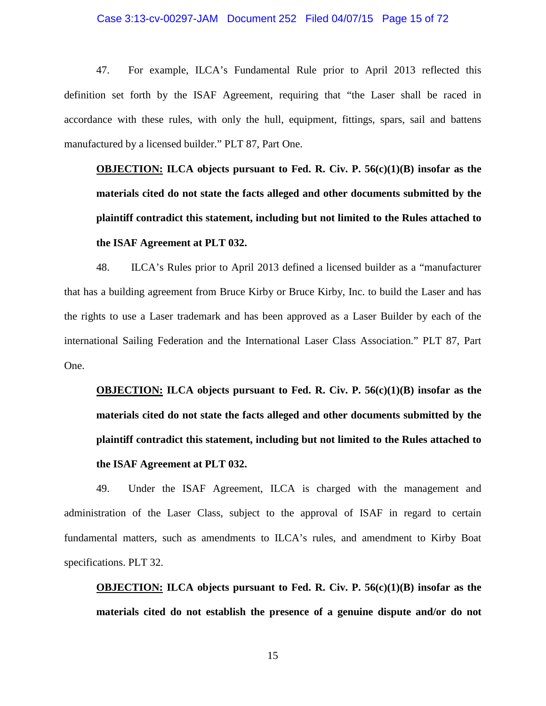### Case 3:13-cv-00297-JAM Document 252 Filed 04/07/15 Page 15 of 72

47. For example, ILCA's Fundamental Rule prior to April 2013 reflected this definition set forth by the ISAF Agreement, requiring that "the Laser shall be raced in accordance with these rules, with only the hull, equipment, fittings, spars, sail and battens manufactured by a licensed builder." PLT 87, Part One.

**OBJECTION: ILCA objects pursuant to Fed. R. Civ. P. 56(c)(1)(B) insofar as the materials cited do not state the facts alleged and other documents submitted by the plaintiff contradict this statement, including but not limited to the Rules attached to the ISAF Agreement at PLT 032.**

48. ILCA's Rules prior to April 2013 defined a licensed builder as a "manufacturer that has a building agreement from Bruce Kirby or Bruce Kirby, Inc. to build the Laser and has the rights to use a Laser trademark and has been approved as a Laser Builder by each of the international Sailing Federation and the International Laser Class Association." PLT 87, Part One.

**OBJECTION: ILCA objects pursuant to Fed. R. Civ. P. 56(c)(1)(B) insofar as the materials cited do not state the facts alleged and other documents submitted by the plaintiff contradict this statement, including but not limited to the Rules attached to the ISAF Agreement at PLT 032.**

49. Under the ISAF Agreement, ILCA is charged with the management and administration of the Laser Class, subject to the approval of ISAF in regard to certain fundamental matters, such as amendments to ILCA's rules, and amendment to Kirby Boat specifications. PLT 32.

**OBJECTION: ILCA objects pursuant to Fed. R. Civ. P. 56(c)(1)(B) insofar as the materials cited do not establish the presence of a genuine dispute and/or do not** 

15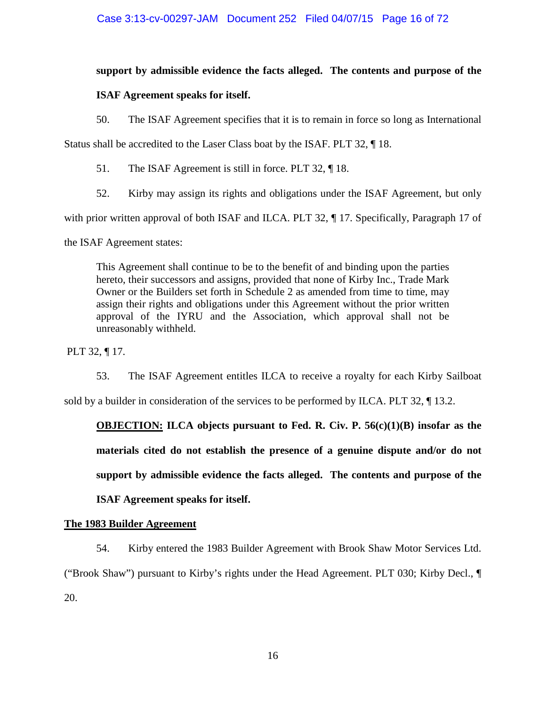### **support by admissible evidence the facts alleged. The contents and purpose of the**

### **ISAF Agreement speaks for itself.**

50. The ISAF Agreement specifies that it is to remain in force so long as International

Status shall be accredited to the Laser Class boat by the ISAF. PLT 32, ¶ 18.

51. The ISAF Agreement is still in force. PLT 32, ¶ 18.

52. Kirby may assign its rights and obligations under the ISAF Agreement, but only

with prior written approval of both ISAF and ILCA. PLT 32,  $\P$  17. Specifically, Paragraph 17 of

the ISAF Agreement states:

This Agreement shall continue to be to the benefit of and binding upon the parties hereto, their successors and assigns, provided that none of Kirby Inc., Trade Mark Owner or the Builders set forth in Schedule 2 as amended from time to time, may assign their rights and obligations under this Agreement without the prior written approval of the IYRU and the Association, which approval shall not be unreasonably withheld.

PLT 32, ¶ 17.

53. The ISAF Agreement entitles ILCA to receive a royalty for each Kirby Sailboat

sold by a builder in consideration of the services to be performed by ILCA. PLT 32,  $\P$  13.2.

**OBJECTION: ILCA objects pursuant to Fed. R. Civ. P. 56(c)(1)(B) insofar as the materials cited do not establish the presence of a genuine dispute and/or do not support by admissible evidence the facts alleged. The contents and purpose of the ISAF Agreement speaks for itself.** 

### **The 1983 Builder Agreement**

54. Kirby entered the 1983 Builder Agreement with Brook Shaw Motor Services Ltd. ("Brook Shaw") pursuant to Kirby's rights under the Head Agreement. PLT 030; Kirby Decl., ¶ 20.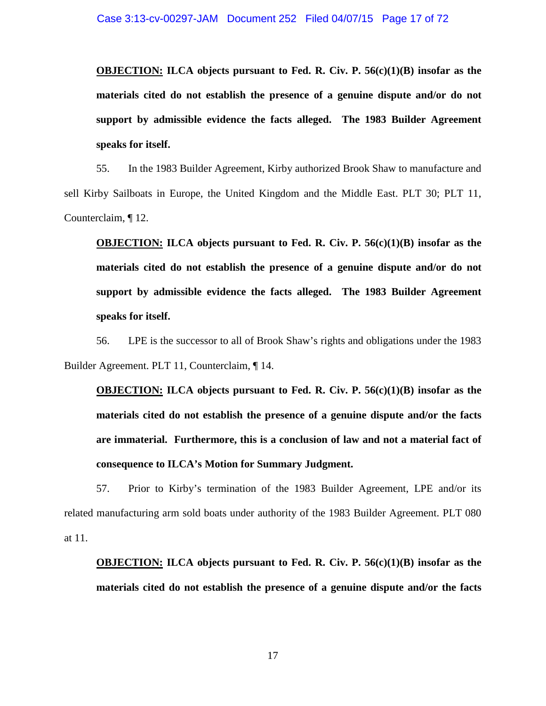**OBJECTION: ILCA objects pursuant to Fed. R. Civ. P. 56(c)(1)(B) insofar as the materials cited do not establish the presence of a genuine dispute and/or do not support by admissible evidence the facts alleged. The 1983 Builder Agreement speaks for itself.** 

55. In the 1983 Builder Agreement, Kirby authorized Brook Shaw to manufacture and sell Kirby Sailboats in Europe, the United Kingdom and the Middle East. PLT 30; PLT 11, Counterclaim, ¶ 12.

**OBJECTION: ILCA objects pursuant to Fed. R. Civ. P. 56(c)(1)(B) insofar as the materials cited do not establish the presence of a genuine dispute and/or do not support by admissible evidence the facts alleged. The 1983 Builder Agreement speaks for itself.** 

56. LPE is the successor to all of Brook Shaw's rights and obligations under the 1983 Builder Agreement. PLT 11, Counterclaim, ¶ 14.

**OBJECTION: ILCA objects pursuant to Fed. R. Civ. P. 56(c)(1)(B) insofar as the materials cited do not establish the presence of a genuine dispute and/or the facts are immaterial. Furthermore, this is a conclusion of law and not a material fact of consequence to ILCA's Motion for Summary Judgment.** 

57. Prior to Kirby's termination of the 1983 Builder Agreement, LPE and/or its related manufacturing arm sold boats under authority of the 1983 Builder Agreement. PLT 080 at 11.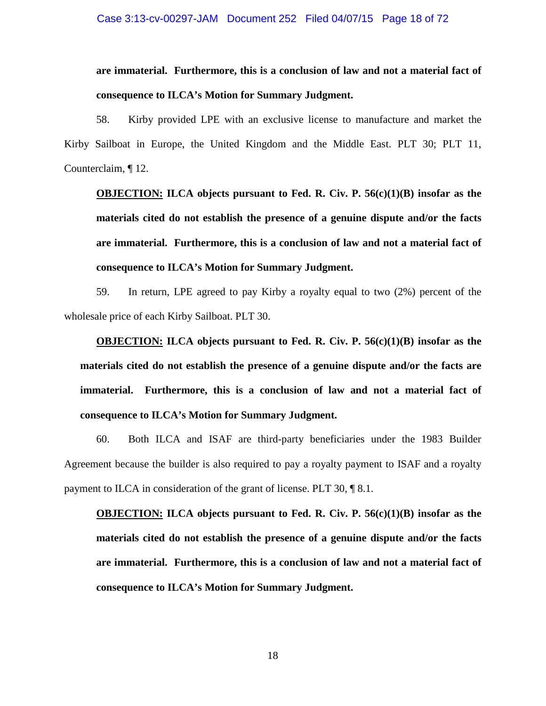# **are immaterial. Furthermore, this is a conclusion of law and not a material fact of consequence to ILCA's Motion for Summary Judgment.**

58. Kirby provided LPE with an exclusive license to manufacture and market the Kirby Sailboat in Europe, the United Kingdom and the Middle East. PLT 30; PLT 11, Counterclaim, ¶ 12.

**OBJECTION: ILCA objects pursuant to Fed. R. Civ. P. 56(c)(1)(B) insofar as the materials cited do not establish the presence of a genuine dispute and/or the facts are immaterial. Furthermore, this is a conclusion of law and not a material fact of consequence to ILCA's Motion for Summary Judgment.** 

59. In return, LPE agreed to pay Kirby a royalty equal to two (2%) percent of the wholesale price of each Kirby Sailboat. PLT 30.

**OBJECTION: ILCA objects pursuant to Fed. R. Civ. P. 56(c)(1)(B) insofar as the materials cited do not establish the presence of a genuine dispute and/or the facts are immaterial. Furthermore, this is a conclusion of law and not a material fact of consequence to ILCA's Motion for Summary Judgment.** 

60. Both ILCA and ISAF are third-party beneficiaries under the 1983 Builder Agreement because the builder is also required to pay a royalty payment to ISAF and a royalty payment to ILCA in consideration of the grant of license. PLT 30, ¶ 8.1.

**OBJECTION: ILCA objects pursuant to Fed. R. Civ. P. 56(c)(1)(B) insofar as the materials cited do not establish the presence of a genuine dispute and/or the facts are immaterial. Furthermore, this is a conclusion of law and not a material fact of consequence to ILCA's Motion for Summary Judgment.**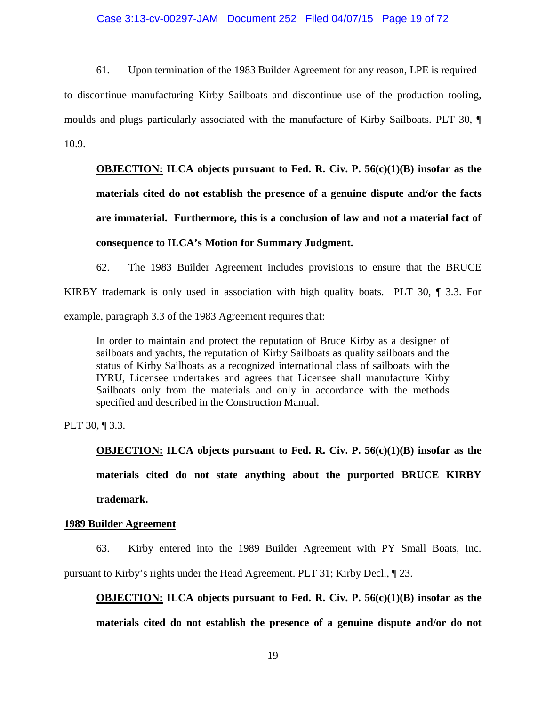#### Case 3:13-cv-00297-JAM Document 252 Filed 04/07/15 Page 19 of 72

61. Upon termination of the 1983 Builder Agreement for any reason, LPE is required to discontinue manufacturing Kirby Sailboats and discontinue use of the production tooling, moulds and plugs particularly associated with the manufacture of Kirby Sailboats. PLT 30, ¶ 10.9.

**OBJECTION: ILCA objects pursuant to Fed. R. Civ. P. 56(c)(1)(B) insofar as the materials cited do not establish the presence of a genuine dispute and/or the facts are immaterial. Furthermore, this is a conclusion of law and not a material fact of consequence to ILCA's Motion for Summary Judgment.** 

62. The 1983 Builder Agreement includes provisions to ensure that the BRUCE KIRBY trademark is only used in association with high quality boats. PLT 30,  $\P$  3.3. For example, paragraph 3.3 of the 1983 Agreement requires that:

In order to maintain and protect the reputation of Bruce Kirby as a designer of sailboats and yachts, the reputation of Kirby Sailboats as quality sailboats and the status of Kirby Sailboats as a recognized international class of sailboats with the IYRU, Licensee undertakes and agrees that Licensee shall manufacture Kirby Sailboats only from the materials and only in accordance with the methods specified and described in the Construction Manual.

PLT 30, ¶ 3.3.

**OBJECTION: ILCA objects pursuant to Fed. R. Civ. P. 56(c)(1)(B) insofar as the materials cited do not state anything about the purported BRUCE KIRBY trademark.** 

#### **1989 Builder Agreement**

63. Kirby entered into the 1989 Builder Agreement with PY Small Boats, Inc. pursuant to Kirby's rights under the Head Agreement. PLT 31; Kirby Decl., ¶ 23.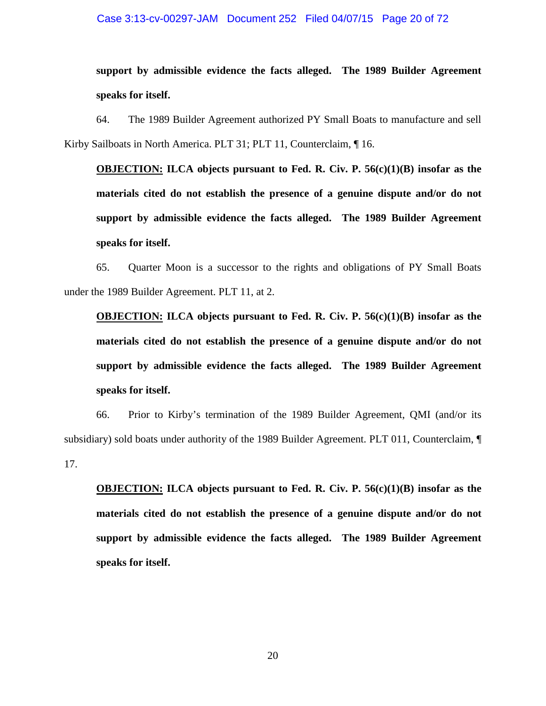#### Case 3:13-cv-00297-JAM Document 252 Filed 04/07/15 Page 20 of 72

**support by admissible evidence the facts alleged. The 1989 Builder Agreement speaks for itself.** 

64. The 1989 Builder Agreement authorized PY Small Boats to manufacture and sell Kirby Sailboats in North America. PLT 31; PLT 11, Counterclaim, ¶ 16.

**OBJECTION: ILCA objects pursuant to Fed. R. Civ. P. 56(c)(1)(B) insofar as the materials cited do not establish the presence of a genuine dispute and/or do not support by admissible evidence the facts alleged. The 1989 Builder Agreement speaks for itself.** 

65. Quarter Moon is a successor to the rights and obligations of PY Small Boats under the 1989 Builder Agreement. PLT 11, at 2.

**OBJECTION: ILCA objects pursuant to Fed. R. Civ. P. 56(c)(1)(B) insofar as the materials cited do not establish the presence of a genuine dispute and/or do not support by admissible evidence the facts alleged. The 1989 Builder Agreement speaks for itself.** 

66. Prior to Kirby's termination of the 1989 Builder Agreement, QMI (and/or its subsidiary) sold boats under authority of the 1989 Builder Agreement. PLT 011, Counterclaim, ¶ 17.

**OBJECTION: ILCA objects pursuant to Fed. R. Civ. P. 56(c)(1)(B) insofar as the materials cited do not establish the presence of a genuine dispute and/or do not support by admissible evidence the facts alleged. The 1989 Builder Agreement speaks for itself.**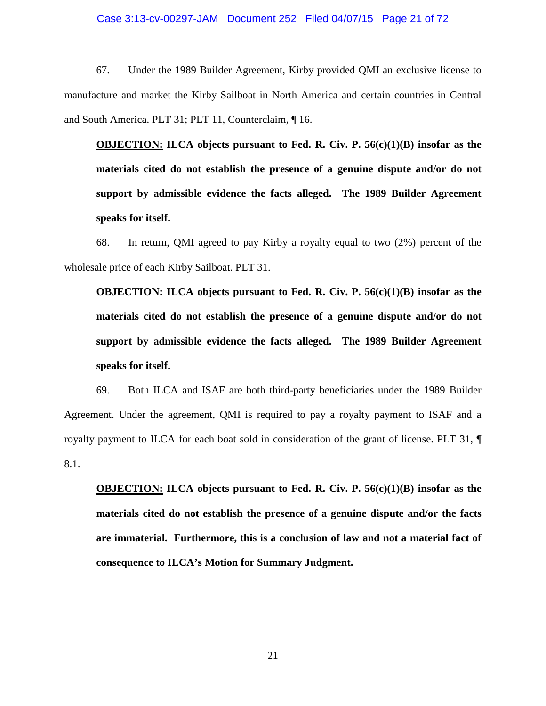#### Case 3:13-cv-00297-JAM Document 252 Filed 04/07/15 Page 21 of 72

67. Under the 1989 Builder Agreement, Kirby provided QMI an exclusive license to manufacture and market the Kirby Sailboat in North America and certain countries in Central and South America. PLT 31; PLT 11, Counterclaim, ¶ 16.

**OBJECTION: ILCA objects pursuant to Fed. R. Civ. P. 56(c)(1)(B) insofar as the materials cited do not establish the presence of a genuine dispute and/or do not support by admissible evidence the facts alleged. The 1989 Builder Agreement speaks for itself.** 

68. In return, QMI agreed to pay Kirby a royalty equal to two (2%) percent of the wholesale price of each Kirby Sailboat. PLT 31.

**OBJECTION: ILCA objects pursuant to Fed. R. Civ. P. 56(c)(1)(B) insofar as the materials cited do not establish the presence of a genuine dispute and/or do not support by admissible evidence the facts alleged. The 1989 Builder Agreement speaks for itself.** 

69. Both ILCA and ISAF are both third-party beneficiaries under the 1989 Builder Agreement. Under the agreement, QMI is required to pay a royalty payment to ISAF and a royalty payment to ILCA for each boat sold in consideration of the grant of license. PLT 31, ¶ 8.1.

**OBJECTION: ILCA objects pursuant to Fed. R. Civ. P. 56(c)(1)(B) insofar as the materials cited do not establish the presence of a genuine dispute and/or the facts are immaterial. Furthermore, this is a conclusion of law and not a material fact of consequence to ILCA's Motion for Summary Judgment.**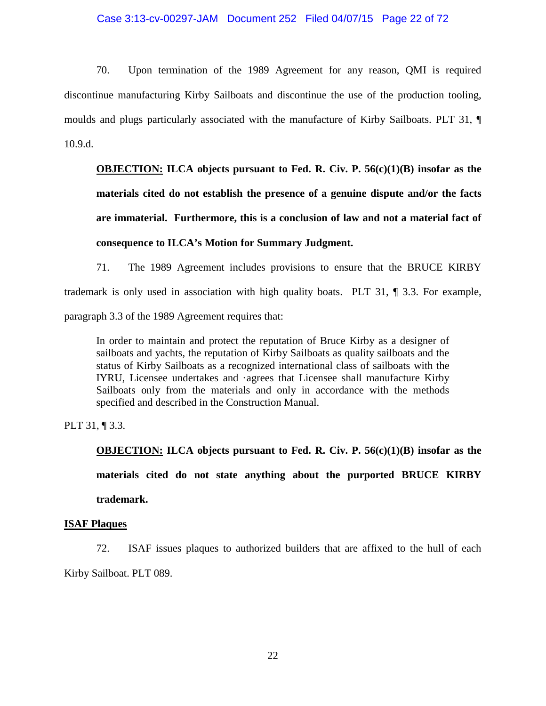#### Case 3:13-cv-00297-JAM Document 252 Filed 04/07/15 Page 22 of 72

70. Upon termination of the 1989 Agreement for any reason, QMI is required discontinue manufacturing Kirby Sailboats and discontinue the use of the production tooling, moulds and plugs particularly associated with the manufacture of Kirby Sailboats. PLT 31, ¶ 10.9.d.

**OBJECTION: ILCA objects pursuant to Fed. R. Civ. P. 56(c)(1)(B) insofar as the materials cited do not establish the presence of a genuine dispute and/or the facts are immaterial. Furthermore, this is a conclusion of law and not a material fact of consequence to ILCA's Motion for Summary Judgment.** 

71. The 1989 Agreement includes provisions to ensure that the BRUCE KIRBY trademark is only used in association with high quality boats. PLT 31, ¶ 3.3. For example, paragraph 3.3 of the 1989 Agreement requires that:

In order to maintain and protect the reputation of Bruce Kirby as a designer of sailboats and yachts, the reputation of Kirby Sailboats as quality sailboats and the status of Kirby Sailboats as a recognized international class of sailboats with the IYRU, Licensee undertakes and ·agrees that Licensee shall manufacture Kirby Sailboats only from the materials and only in accordance with the methods specified and described in the Construction Manual.

PLT 31, ¶ 3.3.

**OBJECTION: ILCA objects pursuant to Fed. R. Civ. P. 56(c)(1)(B) insofar as the materials cited do not state anything about the purported BRUCE KIRBY trademark.** 

#### **ISAF Plaques**

72. ISAF issues plaques to authorized builders that are affixed to the hull of each Kirby Sailboat. PLT 089.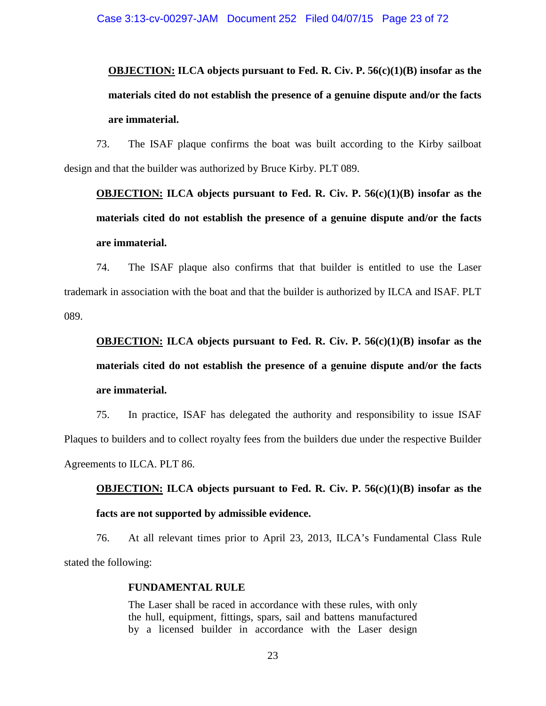# **OBJECTION: ILCA objects pursuant to Fed. R. Civ. P. 56(c)(1)(B) insofar as the materials cited do not establish the presence of a genuine dispute and/or the facts are immaterial.**

73. The ISAF plaque confirms the boat was built according to the Kirby sailboat design and that the builder was authorized by Bruce Kirby. PLT 089.

**OBJECTION: ILCA objects pursuant to Fed. R. Civ. P. 56(c)(1)(B) insofar as the materials cited do not establish the presence of a genuine dispute and/or the facts are immaterial.** 

74. The ISAF plaque also confirms that that builder is entitled to use the Laser trademark in association with the boat and that the builder is authorized by ILCA and ISAF. PLT 089.

# **OBJECTION: ILCA objects pursuant to Fed. R. Civ. P. 56(c)(1)(B) insofar as the materials cited do not establish the presence of a genuine dispute and/or the facts are immaterial.**

75. In practice, ISAF has delegated the authority and responsibility to issue ISAF Plaques to builders and to collect royalty fees from the builders due under the respective Builder Agreements to ILCA. PLT 86.

**OBJECTION: ILCA objects pursuant to Fed. R. Civ. P. 56(c)(1)(B) insofar as the facts are not supported by admissible evidence.** 

76. At all relevant times prior to April 23, 2013, ILCA's Fundamental Class Rule stated the following:

#### **FUNDAMENTAL RULE**

The Laser shall be raced in accordance with these rules, with only the hull, equipment, fittings, spars, sail and battens manufactured by a licensed builder in accordance with the Laser design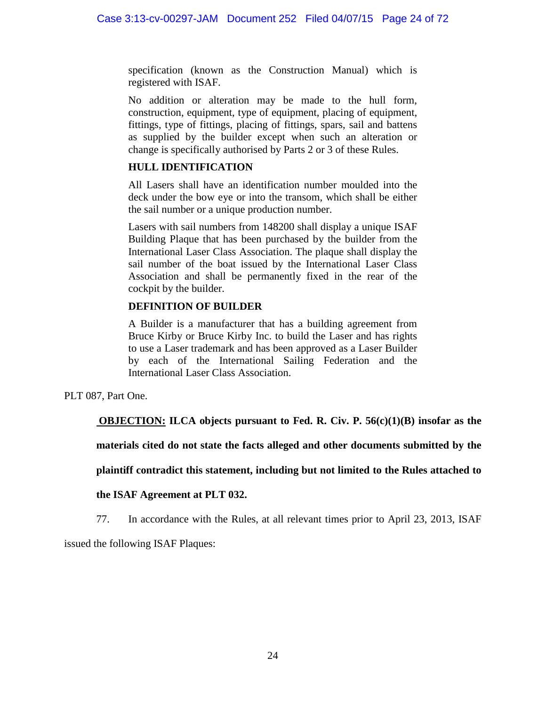specification (known as the Construction Manual) which is registered with ISAF.

No addition or alteration may be made to the hull form, construction, equipment, type of equipment, placing of equipment, fittings, type of fittings, placing of fittings, spars, sail and battens as supplied by the builder except when such an alteration or change is specifically authorised by Parts 2 or 3 of these Rules.

### **HULL IDENTIFICATION**

All Lasers shall have an identification number moulded into the deck under the bow eye or into the transom, which shall be either the sail number or a unique production number.

Lasers with sail numbers from 148200 shall display a unique ISAF Building Plaque that has been purchased by the builder from the International Laser Class Association. The plaque shall display the sail number of the boat issued by the International Laser Class Association and shall be permanently fixed in the rear of the cockpit by the builder.

### **DEFINITION OF BUILDER**

A Builder is a manufacturer that has a building agreement from Bruce Kirby or Bruce Kirby Inc. to build the Laser and has rights to use a Laser trademark and has been approved as a Laser Builder by each of the International Sailing Federation and the International Laser Class Association.

PLT 087, Part One.

**OBJECTION: ILCA objects pursuant to Fed. R. Civ. P. 56(c)(1)(B) insofar as the** 

**materials cited do not state the facts alleged and other documents submitted by the** 

**plaintiff contradict this statement, including but not limited to the Rules attached to** 

### **the ISAF Agreement at PLT 032.**

77. In accordance with the Rules, at all relevant times prior to April 23, 2013, ISAF

issued the following ISAF Plaques: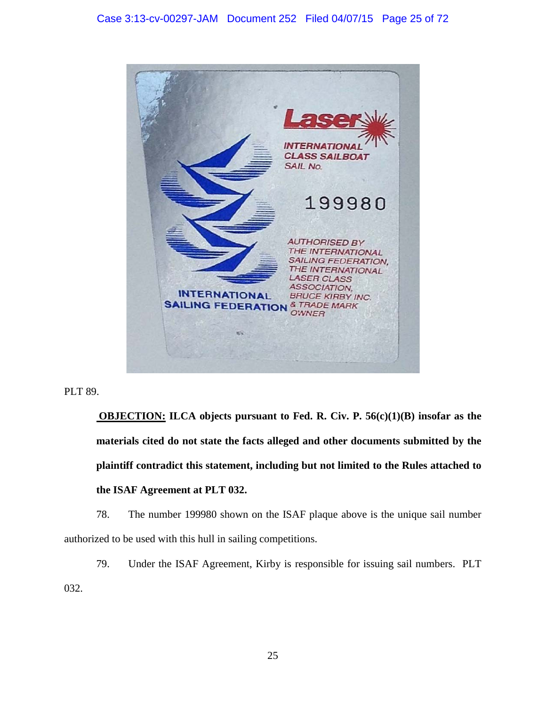**INTERNATION CLASS SAILBOAT** SAIL No. 199980 **AUTHORISED BY** THE INTERNATIONAL **SAILING FEDERATION.** THE INTERNATIONAL LASER CLASS **ASSOCIATION. INTERNATIONAL BRUCE KIRBY INC. SAILING FEDERATION** & TRADE MARK OWNER

PLT 89.

**OBJECTION: ILCA objects pursuant to Fed. R. Civ. P. 56(c)(1)(B) insofar as the materials cited do not state the facts alleged and other documents submitted by the plaintiff contradict this statement, including but not limited to the Rules attached to the ISAF Agreement at PLT 032.**

78. The number 199980 shown on the ISAF plaque above is the unique sail number authorized to be used with this hull in sailing competitions.

79. Under the ISAF Agreement, Kirby is responsible for issuing sail numbers. PLT 032.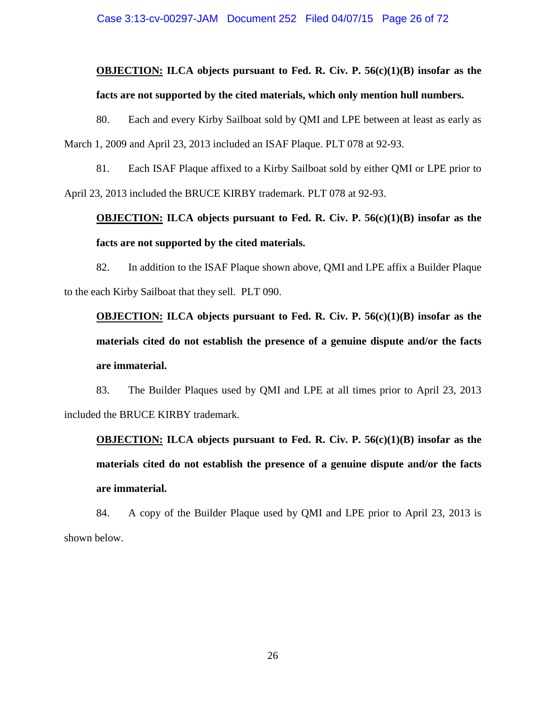# **OBJECTION: ILCA objects pursuant to Fed. R. Civ. P. 56(c)(1)(B) insofar as the facts are not supported by the cited materials, which only mention hull numbers.**

80. Each and every Kirby Sailboat sold by QMI and LPE between at least as early as March 1, 2009 and April 23, 2013 included an ISAF Plaque. PLT 078 at 92-93.

81. Each ISAF Plaque affixed to a Kirby Sailboat sold by either QMI or LPE prior to April 23, 2013 included the BRUCE KIRBY trademark. PLT 078 at 92-93.

# **OBJECTION: ILCA objects pursuant to Fed. R. Civ. P. 56(c)(1)(B) insofar as the facts are not supported by the cited materials.**

82. In addition to the ISAF Plaque shown above, QMI and LPE affix a Builder Plaque to the each Kirby Sailboat that they sell. PLT 090.

**OBJECTION: ILCA objects pursuant to Fed. R. Civ. P. 56(c)(1)(B) insofar as the materials cited do not establish the presence of a genuine dispute and/or the facts are immaterial.** 

83. The Builder Plaques used by QMI and LPE at all times prior to April 23, 2013 included the BRUCE KIRBY trademark.

**OBJECTION: ILCA objects pursuant to Fed. R. Civ. P. 56(c)(1)(B) insofar as the materials cited do not establish the presence of a genuine dispute and/or the facts are immaterial.** 

84. A copy of the Builder Plaque used by QMI and LPE prior to April 23, 2013 is shown below.

26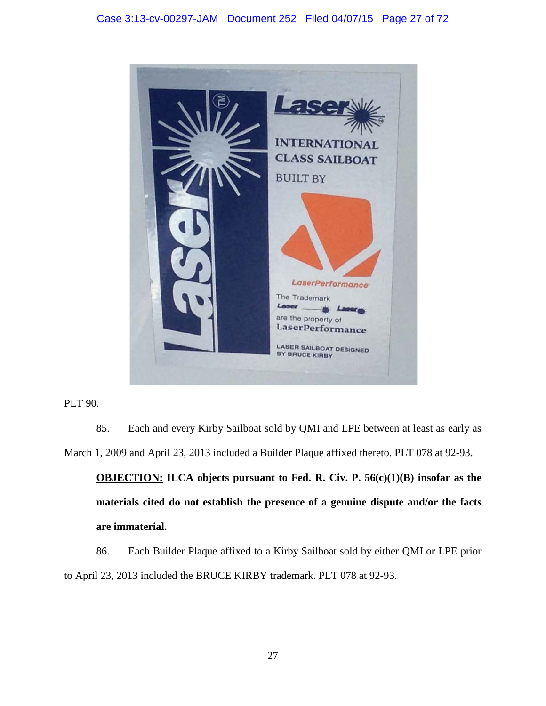

PLT 90.

85. Each and every Kirby Sailboat sold by QMI and LPE between at least as early as March 1, 2009 and April 23, 2013 included a Builder Plaque affixed thereto. PLT 078 at 92-93.

**OBJECTION: ILCA objects pursuant to Fed. R. Civ. P. 56(c)(1)(B) insofar as the materials cited do not establish the presence of a genuine dispute and/or the facts are immaterial.** 

86. Each Builder Plaque affixed to a Kirby Sailboat sold by either QMI or LPE prior to April 23, 2013 included the BRUCE KIRBY trademark. PLT 078 at 92-93.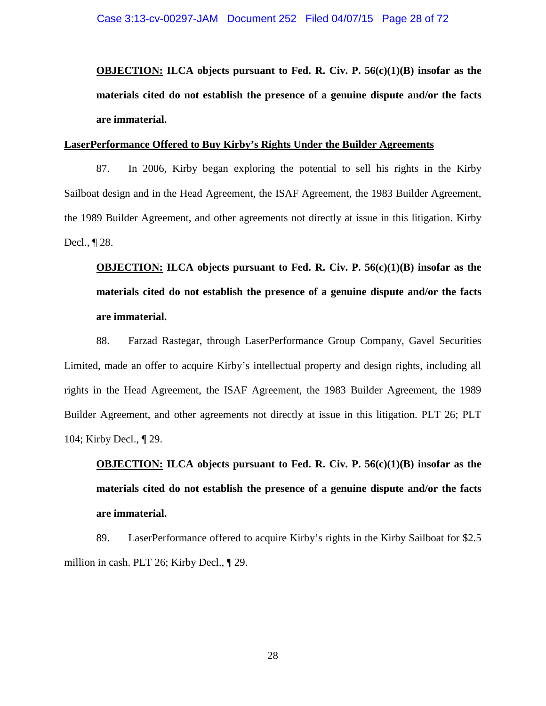**OBJECTION: ILCA objects pursuant to Fed. R. Civ. P. 56(c)(1)(B) insofar as the materials cited do not establish the presence of a genuine dispute and/or the facts are immaterial.** 

#### **LaserPerformance Offered to Buy Kirby's Rights Under the Builder Agreements**

87. In 2006, Kirby began exploring the potential to sell his rights in the Kirby Sailboat design and in the Head Agreement, the ISAF Agreement, the 1983 Builder Agreement, the 1989 Builder Agreement, and other agreements not directly at issue in this litigation. Kirby Decl., ¶ 28.

# **OBJECTION: ILCA objects pursuant to Fed. R. Civ. P. 56(c)(1)(B) insofar as the materials cited do not establish the presence of a genuine dispute and/or the facts are immaterial.**

88. Farzad Rastegar, through LaserPerformance Group Company, Gavel Securities Limited, made an offer to acquire Kirby's intellectual property and design rights, including all rights in the Head Agreement, the ISAF Agreement, the 1983 Builder Agreement, the 1989 Builder Agreement, and other agreements not directly at issue in this litigation. PLT 26; PLT 104; Kirby Decl., ¶ 29.

# **OBJECTION: ILCA objects pursuant to Fed. R. Civ. P. 56(c)(1)(B) insofar as the materials cited do not establish the presence of a genuine dispute and/or the facts are immaterial.**

89. LaserPerformance offered to acquire Kirby's rights in the Kirby Sailboat for \$2.5 million in cash. PLT 26; Kirby Decl., ¶ 29.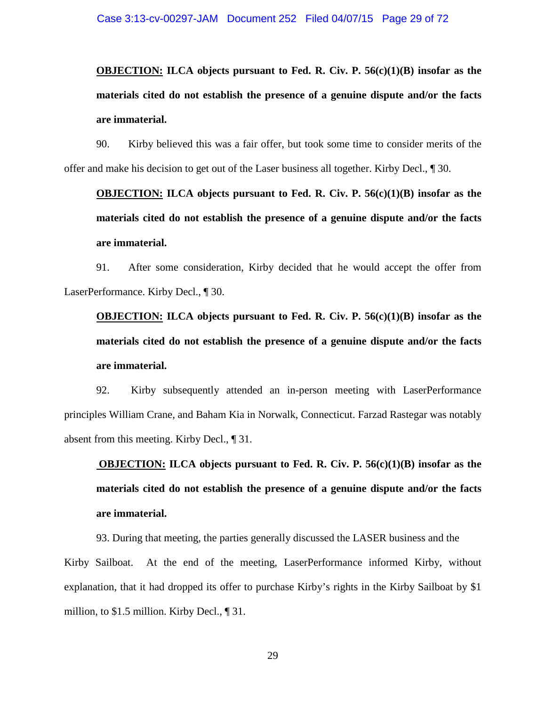**OBJECTION: ILCA objects pursuant to Fed. R. Civ. P. 56(c)(1)(B) insofar as the materials cited do not establish the presence of a genuine dispute and/or the facts are immaterial.** 

90. Kirby believed this was a fair offer, but took some time to consider merits of the offer and make his decision to get out of the Laser business all together. Kirby Decl., ¶ 30.

**OBJECTION: ILCA objects pursuant to Fed. R. Civ. P. 56(c)(1)(B) insofar as the materials cited do not establish the presence of a genuine dispute and/or the facts are immaterial.** 

91. After some consideration, Kirby decided that he would accept the offer from LaserPerformance. Kirby Decl., ¶ 30.

**OBJECTION: ILCA objects pursuant to Fed. R. Civ. P. 56(c)(1)(B) insofar as the materials cited do not establish the presence of a genuine dispute and/or the facts are immaterial.** 

92. Kirby subsequently attended an in-person meeting with LaserPerformance principles William Crane, and Baham Kia in Norwalk, Connecticut. Farzad Rastegar was notably absent from this meeting. Kirby Decl., ¶ 31.

**OBJECTION: ILCA objects pursuant to Fed. R. Civ. P. 56(c)(1)(B) insofar as the materials cited do not establish the presence of a genuine dispute and/or the facts are immaterial.** 

93. During that meeting, the parties generally discussed the LASER business and the Kirby Sailboat. At the end of the meeting, LaserPerformance informed Kirby, without explanation, that it had dropped its offer to purchase Kirby's rights in the Kirby Sailboat by \$1 million, to \$1.5 million. Kirby Decl., ¶ 31.

29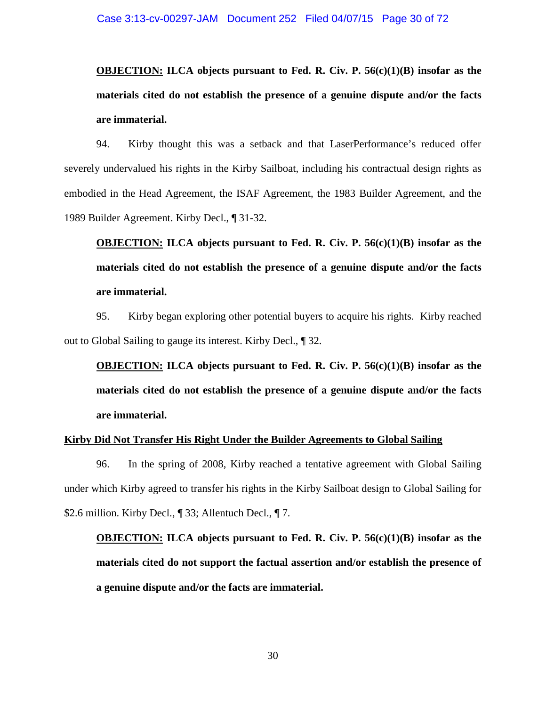**OBJECTION: ILCA objects pursuant to Fed. R. Civ. P. 56(c)(1)(B) insofar as the materials cited do not establish the presence of a genuine dispute and/or the facts are immaterial.** 

94. Kirby thought this was a setback and that LaserPerformance's reduced offer severely undervalued his rights in the Kirby Sailboat, including his contractual design rights as embodied in the Head Agreement, the ISAF Agreement, the 1983 Builder Agreement, and the 1989 Builder Agreement. Kirby Decl., ¶ 31-32.

**OBJECTION: ILCA objects pursuant to Fed. R. Civ. P. 56(c)(1)(B) insofar as the materials cited do not establish the presence of a genuine dispute and/or the facts are immaterial.** 

95. Kirby began exploring other potential buyers to acquire his rights. Kirby reached out to Global Sailing to gauge its interest. Kirby Decl., ¶ 32.

**OBJECTION: ILCA objects pursuant to Fed. R. Civ. P. 56(c)(1)(B) insofar as the materials cited do not establish the presence of a genuine dispute and/or the facts are immaterial.** 

#### **Kirby Did Not Transfer His Right Under the Builder Agreements to Global Sailing**

96. In the spring of 2008, Kirby reached a tentative agreement with Global Sailing under which Kirby agreed to transfer his rights in the Kirby Sailboat design to Global Sailing for \$2.6 million. Kirby Decl., 1 33; Allentuch Decl., 1 7.

**OBJECTION: ILCA objects pursuant to Fed. R. Civ. P. 56(c)(1)(B) insofar as the materials cited do not support the factual assertion and/or establish the presence of a genuine dispute and/or the facts are immaterial.**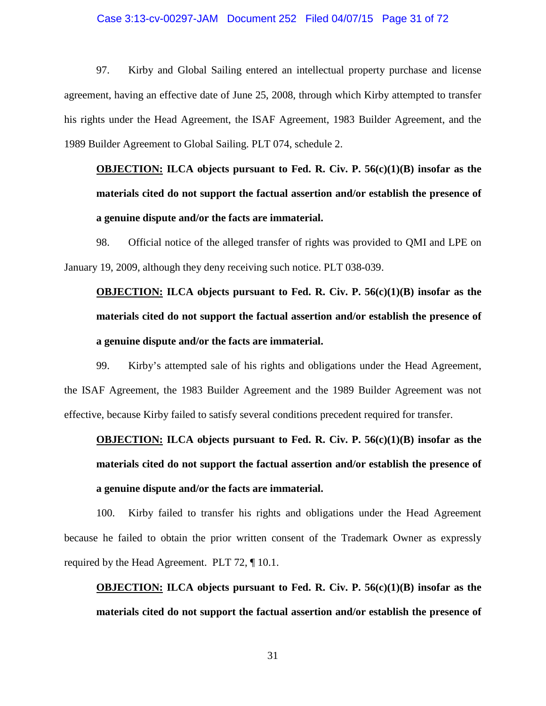### Case 3:13-cv-00297-JAM Document 252 Filed 04/07/15 Page 31 of 72

97. Kirby and Global Sailing entered an intellectual property purchase and license agreement, having an effective date of June 25, 2008, through which Kirby attempted to transfer his rights under the Head Agreement, the ISAF Agreement, 1983 Builder Agreement, and the 1989 Builder Agreement to Global Sailing. PLT 074, schedule 2.

# **OBJECTION: ILCA objects pursuant to Fed. R. Civ. P. 56(c)(1)(B) insofar as the materials cited do not support the factual assertion and/or establish the presence of a genuine dispute and/or the facts are immaterial.**

98. Official notice of the alleged transfer of rights was provided to QMI and LPE on January 19, 2009, although they deny receiving such notice. PLT 038-039.

# **OBJECTION: ILCA objects pursuant to Fed. R. Civ. P. 56(c)(1)(B) insofar as the materials cited do not support the factual assertion and/or establish the presence of a genuine dispute and/or the facts are immaterial.**

99. Kirby's attempted sale of his rights and obligations under the Head Agreement, the ISAF Agreement, the 1983 Builder Agreement and the 1989 Builder Agreement was not effective, because Kirby failed to satisfy several conditions precedent required for transfer.

# **OBJECTION: ILCA objects pursuant to Fed. R. Civ. P. 56(c)(1)(B) insofar as the materials cited do not support the factual assertion and/or establish the presence of a genuine dispute and/or the facts are immaterial.**

100. Kirby failed to transfer his rights and obligations under the Head Agreement because he failed to obtain the prior written consent of the Trademark Owner as expressly required by the Head Agreement. PLT 72, ¶ 10.1.

**OBJECTION: ILCA objects pursuant to Fed. R. Civ. P. 56(c)(1)(B) insofar as the materials cited do not support the factual assertion and/or establish the presence of**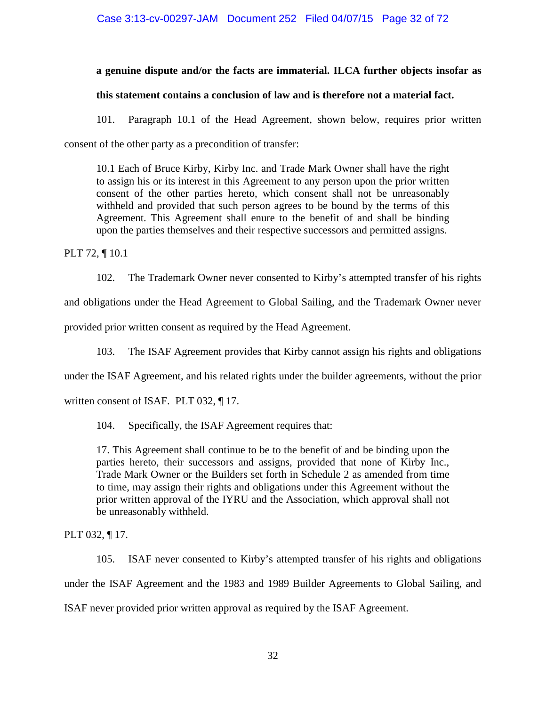### **a genuine dispute and/or the facts are immaterial. ILCA further objects insofar as**

### **this statement contains a conclusion of law and is therefore not a material fact.**

101. Paragraph 10.1 of the Head Agreement, shown below, requires prior written consent of the other party as a precondition of transfer:

10.1 Each of Bruce Kirby, Kirby Inc. and Trade Mark Owner shall have the right to assign his or its interest in this Agreement to any person upon the prior written consent of the other parties hereto, which consent shall not be unreasonably withheld and provided that such person agrees to be bound by the terms of this Agreement. This Agreement shall enure to the benefit of and shall be binding upon the parties themselves and their respective successors and permitted assigns.

PLT 72, ¶ 10.1

102. The Trademark Owner never consented to Kirby's attempted transfer of his rights and obligations under the Head Agreement to Global Sailing, and the Trademark Owner never

provided prior written consent as required by the Head Agreement.

103. The ISAF Agreement provides that Kirby cannot assign his rights and obligations

under the ISAF Agreement, and his related rights under the builder agreements, without the prior

written consent of ISAF. PLT 032, ¶ 17.

104. Specifically, the ISAF Agreement requires that:

17. This Agreement shall continue to be to the benefit of and be binding upon the parties hereto, their successors and assigns, provided that none of Kirby Inc., Trade Mark Owner or the Builders set forth in Schedule 2 as amended from time to time, may assign their rights and obligations under this Agreement without the prior written approval of the IYRU and the Association, which approval shall not be unreasonably withheld.

PLT 032, ¶ 17.

105. ISAF never consented to Kirby's attempted transfer of his rights and obligations under the ISAF Agreement and the 1983 and 1989 Builder Agreements to Global Sailing, and ISAF never provided prior written approval as required by the ISAF Agreement.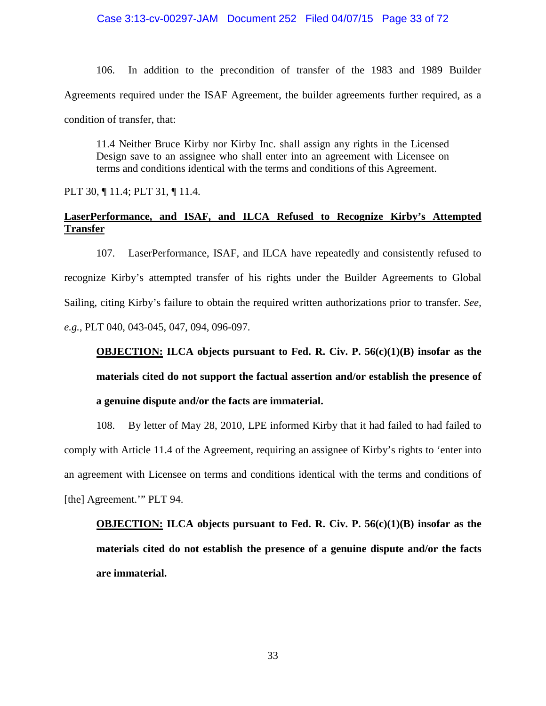106. In addition to the precondition of transfer of the 1983 and 1989 Builder Agreements required under the ISAF Agreement, the builder agreements further required, as a condition of transfer, that:

11.4 Neither Bruce Kirby nor Kirby Inc. shall assign any rights in the Licensed Design save to an assignee who shall enter into an agreement with Licensee on terms and conditions identical with the terms and conditions of this Agreement.

PLT 30, ¶ 11.4; PLT 31, ¶ 11.4.

### **LaserPerformance, and ISAF, and ILCA Refused to Recognize Kirby's Attempted Transfer**

107. LaserPerformance, ISAF, and ILCA have repeatedly and consistently refused to recognize Kirby's attempted transfer of his rights under the Builder Agreements to Global Sailing, citing Kirby's failure to obtain the required written authorizations prior to transfer. *See, e.g.*, PLT 040, 043-045, 047, 094, 096-097.

**OBJECTION: ILCA objects pursuant to Fed. R. Civ. P. 56(c)(1)(B) insofar as the materials cited do not support the factual assertion and/or establish the presence of a genuine dispute and/or the facts are immaterial.** 

108. By letter of May 28, 2010, LPE informed Kirby that it had failed to had failed to comply with Article 11.4 of the Agreement, requiring an assignee of Kirby's rights to 'enter into an agreement with Licensee on terms and conditions identical with the terms and conditions of [the] Agreement." PLT 94.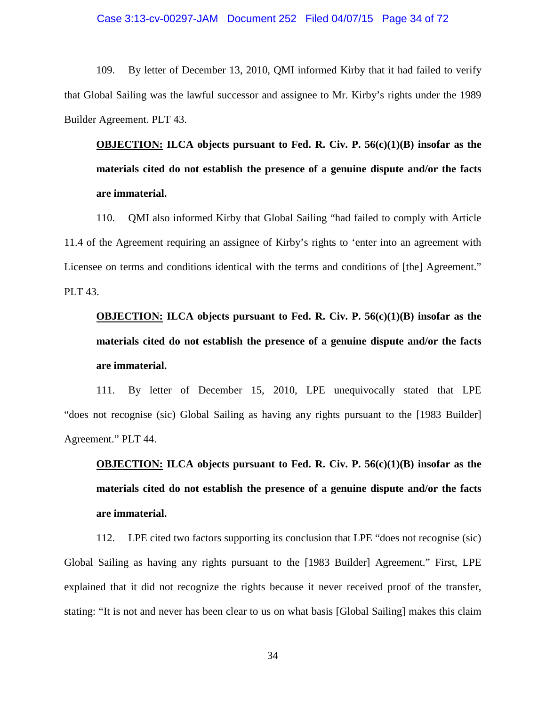109. By letter of December 13, 2010, QMI informed Kirby that it had failed to verify that Global Sailing was the lawful successor and assignee to Mr. Kirby's rights under the 1989 Builder Agreement. PLT 43.

**OBJECTION: ILCA objects pursuant to Fed. R. Civ. P. 56(c)(1)(B) insofar as the materials cited do not establish the presence of a genuine dispute and/or the facts are immaterial.** 

110. QMI also informed Kirby that Global Sailing "had failed to comply with Article 11.4 of the Agreement requiring an assignee of Kirby's rights to 'enter into an agreement with Licensee on terms and conditions identical with the terms and conditions of [the] Agreement." PLT 43.

# **OBJECTION: ILCA objects pursuant to Fed. R. Civ. P. 56(c)(1)(B) insofar as the materials cited do not establish the presence of a genuine dispute and/or the facts are immaterial.**

111. By letter of December 15, 2010, LPE unequivocally stated that LPE "does not recognise (sic) Global Sailing as having any rights pursuant to the [1983 Builder] Agreement." PLT 44.

# **OBJECTION: ILCA objects pursuant to Fed. R. Civ. P. 56(c)(1)(B) insofar as the materials cited do not establish the presence of a genuine dispute and/or the facts are immaterial.**

112. LPE cited two factors supporting its conclusion that LPE "does not recognise (sic) Global Sailing as having any rights pursuant to the [1983 Builder] Agreement." First, LPE explained that it did not recognize the rights because it never received proof of the transfer, stating: "It is not and never has been clear to us on what basis [Global Sailing] makes this claim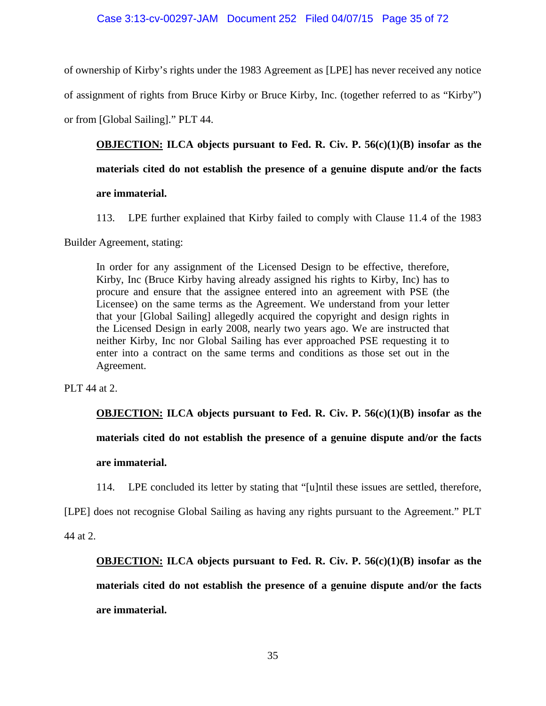### Case 3:13-cv-00297-JAM Document 252 Filed 04/07/15 Page 35 of 72

of ownership of Kirby's rights under the 1983 Agreement as [LPE] has never received any notice of assignment of rights from Bruce Kirby or Bruce Kirby, Inc. (together referred to as "Kirby") or from [Global Sailing]." PLT 44.

**OBJECTION: ILCA objects pursuant to Fed. R. Civ. P. 56(c)(1)(B) insofar as the materials cited do not establish the presence of a genuine dispute and/or the facts are immaterial.** 

113. LPE further explained that Kirby failed to comply with Clause 11.4 of the 1983

Builder Agreement, stating:

In order for any assignment of the Licensed Design to be effective, therefore, Kirby, Inc (Bruce Kirby having already assigned his rights to Kirby, Inc) has to procure and ensure that the assignee entered into an agreement with PSE (the Licensee) on the same terms as the Agreement. We understand from your letter that your [Global Sailing] allegedly acquired the copyright and design rights in the Licensed Design in early 2008, nearly two years ago. We are instructed that neither Kirby, Inc nor Global Sailing has ever approached PSE requesting it to enter into a contract on the same terms and conditions as those set out in the Agreement.

PLT 44 at 2.

**OBJECTION: ILCA objects pursuant to Fed. R. Civ. P. 56(c)(1)(B) insofar as the materials cited do not establish the presence of a genuine dispute and/or the facts are immaterial.** 

114. LPE concluded its letter by stating that "[u]ntil these issues are settled, therefore,

[LPE] does not recognise Global Sailing as having any rights pursuant to the Agreement." PLT

44 at 2.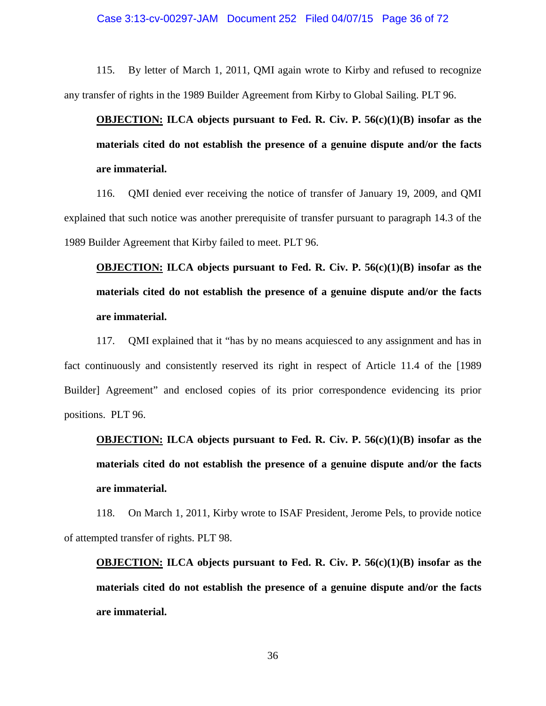115. By letter of March 1, 2011, QMI again wrote to Kirby and refused to recognize any transfer of rights in the 1989 Builder Agreement from Kirby to Global Sailing. PLT 96.

**OBJECTION: ILCA objects pursuant to Fed. R. Civ. P. 56(c)(1)(B) insofar as the materials cited do not establish the presence of a genuine dispute and/or the facts are immaterial.** 

116. QMI denied ever receiving the notice of transfer of January 19, 2009, and QMI explained that such notice was another prerequisite of transfer pursuant to paragraph 14.3 of the 1989 Builder Agreement that Kirby failed to meet. PLT 96.

**OBJECTION: ILCA objects pursuant to Fed. R. Civ. P. 56(c)(1)(B) insofar as the materials cited do not establish the presence of a genuine dispute and/or the facts are immaterial.** 

117. QMI explained that it "has by no means acquiesced to any assignment and has in fact continuously and consistently reserved its right in respect of Article 11.4 of the [1989 Builder] Agreement" and enclosed copies of its prior correspondence evidencing its prior positions. PLT 96.

**OBJECTION: ILCA objects pursuant to Fed. R. Civ. P. 56(c)(1)(B) insofar as the materials cited do not establish the presence of a genuine dispute and/or the facts are immaterial.** 

118. On March 1, 2011, Kirby wrote to ISAF President, Jerome Pels, to provide notice of attempted transfer of rights. PLT 98.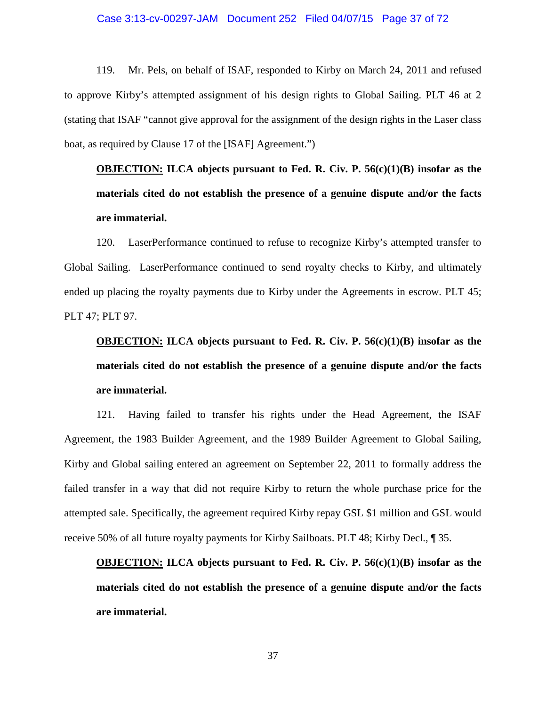## Case 3:13-cv-00297-JAM Document 252 Filed 04/07/15 Page 37 of 72

119. Mr. Pels, on behalf of ISAF, responded to Kirby on March 24, 2011 and refused to approve Kirby's attempted assignment of his design rights to Global Sailing. PLT 46 at 2 (stating that ISAF "cannot give approval for the assignment of the design rights in the Laser class boat, as required by Clause 17 of the [ISAF] Agreement.")

**OBJECTION: ILCA objects pursuant to Fed. R. Civ. P. 56(c)(1)(B) insofar as the materials cited do not establish the presence of a genuine dispute and/or the facts are immaterial.** 

120. LaserPerformance continued to refuse to recognize Kirby's attempted transfer to Global Sailing. LaserPerformance continued to send royalty checks to Kirby, and ultimately ended up placing the royalty payments due to Kirby under the Agreements in escrow. PLT 45; PLT 47; PLT 97.

# **OBJECTION: ILCA objects pursuant to Fed. R. Civ. P. 56(c)(1)(B) insofar as the materials cited do not establish the presence of a genuine dispute and/or the facts are immaterial.**

121. Having failed to transfer his rights under the Head Agreement, the ISAF Agreement, the 1983 Builder Agreement, and the 1989 Builder Agreement to Global Sailing, Kirby and Global sailing entered an agreement on September 22, 2011 to formally address the failed transfer in a way that did not require Kirby to return the whole purchase price for the attempted sale. Specifically, the agreement required Kirby repay GSL \$1 million and GSL would receive 50% of all future royalty payments for Kirby Sailboats. PLT 48; Kirby Decl., ¶ 35.

**OBJECTION: ILCA objects pursuant to Fed. R. Civ. P. 56(c)(1)(B) insofar as the materials cited do not establish the presence of a genuine dispute and/or the facts are immaterial.**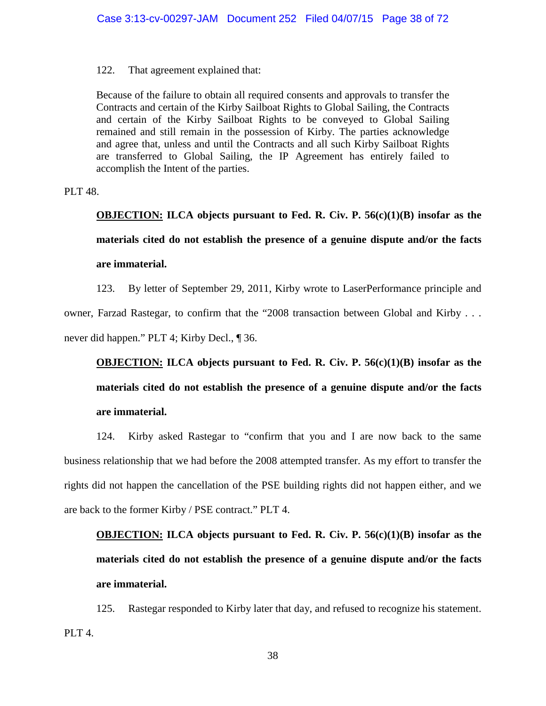122. That agreement explained that:

Because of the failure to obtain all required consents and approvals to transfer the Contracts and certain of the Kirby Sailboat Rights to Global Sailing, the Contracts and certain of the Kirby Sailboat Rights to be conveyed to Global Sailing remained and still remain in the possession of Kirby. The parties acknowledge and agree that, unless and until the Contracts and all such Kirby Sailboat Rights are transferred to Global Sailing, the IP Agreement has entirely failed to accomplish the Intent of the parties.

PLT 48.

**OBJECTION: ILCA objects pursuant to Fed. R. Civ. P. 56(c)(1)(B) insofar as the materials cited do not establish the presence of a genuine dispute and/or the facts are immaterial.** 

123. By letter of September 29, 2011, Kirby wrote to LaserPerformance principle and owner, Farzad Rastegar, to confirm that the "2008 transaction between Global and Kirby . . . never did happen." PLT 4; Kirby Decl., ¶ 36.

**OBJECTION: ILCA objects pursuant to Fed. R. Civ. P. 56(c)(1)(B) insofar as the materials cited do not establish the presence of a genuine dispute and/or the facts are immaterial.** 

124. Kirby asked Rastegar to "confirm that you and I are now back to the same business relationship that we had before the 2008 attempted transfer. As my effort to transfer the rights did not happen the cancellation of the PSE building rights did not happen either, and we are back to the former Kirby / PSE contract." PLT 4.

**OBJECTION: ILCA objects pursuant to Fed. R. Civ. P. 56(c)(1)(B) insofar as the materials cited do not establish the presence of a genuine dispute and/or the facts are immaterial.** 

125. Rastegar responded to Kirby later that day, and refused to recognize his statement. PLT<sub>4</sub>.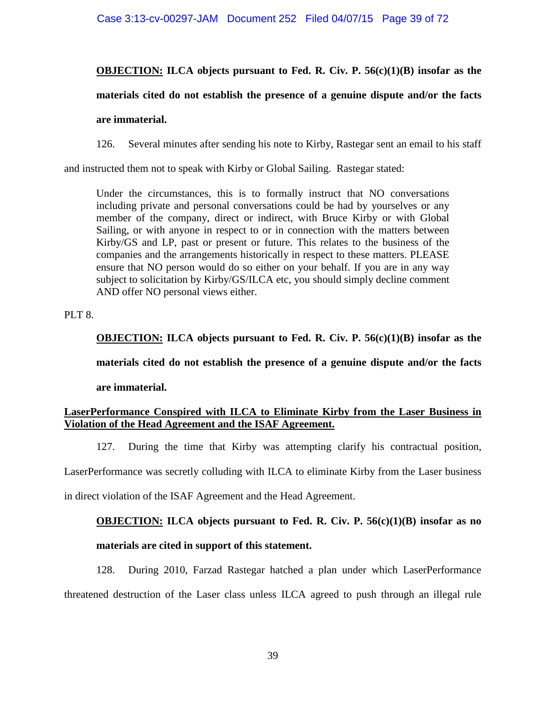# **OBJECTION: ILCA objects pursuant to Fed. R. Civ. P. 56(c)(1)(B) insofar as the**

# **materials cited do not establish the presence of a genuine dispute and/or the facts**

### **are immaterial.**

126. Several minutes after sending his note to Kirby, Rastegar sent an email to his staff

and instructed them not to speak with Kirby or Global Sailing. Rastegar stated:

Under the circumstances, this is to formally instruct that NO conversations including private and personal conversations could be had by yourselves or any member of the company, direct or indirect, with Bruce Kirby or with Global Sailing, or with anyone in respect to or in connection with the matters between Kirby/GS and LP, past or present or future. This relates to the business of the companies and the arrangements historically in respect to these matters. PLEASE ensure that NO person would do so either on your behalf. If you are in any way subject to solicitation by Kirby/GS/ILCA etc, you should simply decline comment AND offer NO personal views either.

## PLT<sub>8</sub>.

**OBJECTION: ILCA objects pursuant to Fed. R. Civ. P. 56(c)(1)(B) insofar as the** 

**materials cited do not establish the presence of a genuine dispute and/or the facts** 

## **are immaterial.**

# **LaserPerformance Conspired with ILCA to Eliminate Kirby from the Laser Business in Violation of the Head Agreement and the ISAF Agreement.**

127. During the time that Kirby was attempting clarify his contractual position,

LaserPerformance was secretly colluding with ILCA to eliminate Kirby from the Laser business

in direct violation of the ISAF Agreement and the Head Agreement.

# **OBJECTION: ILCA objects pursuant to Fed. R. Civ. P. 56(c)(1)(B) insofar as no**

# **materials are cited in support of this statement.**

128. During 2010, Farzad Rastegar hatched a plan under which LaserPerformance threatened destruction of the Laser class unless ILCA agreed to push through an illegal rule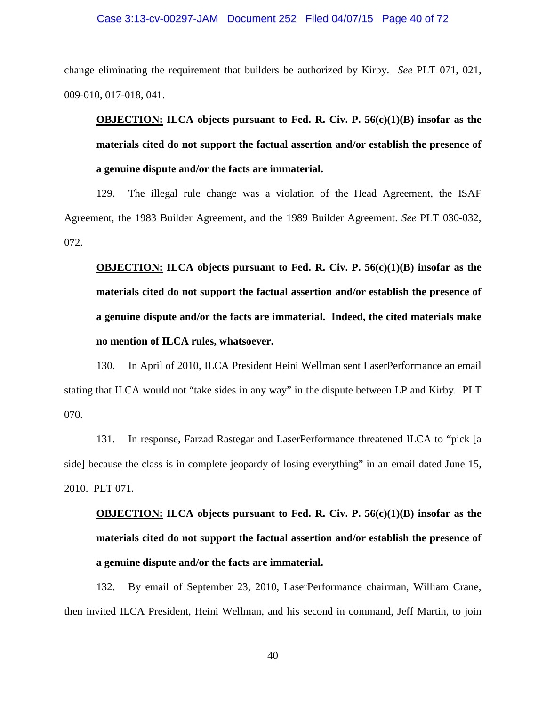## Case 3:13-cv-00297-JAM Document 252 Filed 04/07/15 Page 40 of 72

change eliminating the requirement that builders be authorized by Kirby. *See* PLT 071, 021, 009-010, 017-018, 041.

**OBJECTION: ILCA objects pursuant to Fed. R. Civ. P. 56(c)(1)(B) insofar as the materials cited do not support the factual assertion and/or establish the presence of a genuine dispute and/or the facts are immaterial.** 

129. The illegal rule change was a violation of the Head Agreement, the ISAF Agreement, the 1983 Builder Agreement, and the 1989 Builder Agreement. *See* PLT 030-032, 072.

**OBJECTION: ILCA objects pursuant to Fed. R. Civ. P. 56(c)(1)(B) insofar as the materials cited do not support the factual assertion and/or establish the presence of a genuine dispute and/or the facts are immaterial. Indeed, the cited materials make no mention of ILCA rules, whatsoever.** 

130. In April of 2010, ILCA President Heini Wellman sent LaserPerformance an email stating that ILCA would not "take sides in any way" in the dispute between LP and Kirby. PLT 070.

131. In response, Farzad Rastegar and LaserPerformance threatened ILCA to "pick [a side] because the class is in complete jeopardy of losing everything" in an email dated June 15, 2010. PLT 071.

# **OBJECTION: ILCA objects pursuant to Fed. R. Civ. P. 56(c)(1)(B) insofar as the materials cited do not support the factual assertion and/or establish the presence of a genuine dispute and/or the facts are immaterial.**

132. By email of September 23, 2010, LaserPerformance chairman, William Crane, then invited ILCA President, Heini Wellman, and his second in command, Jeff Martin, to join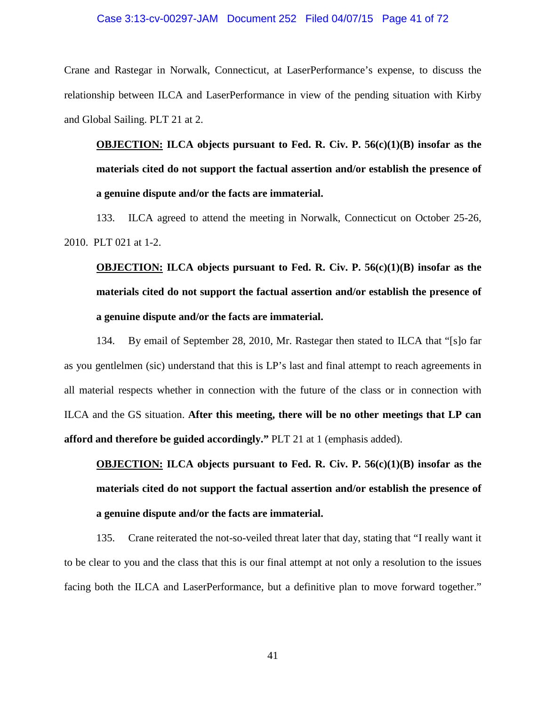#### Case 3:13-cv-00297-JAM Document 252 Filed 04/07/15 Page 41 of 72

Crane and Rastegar in Norwalk, Connecticut, at LaserPerformance's expense, to discuss the relationship between ILCA and LaserPerformance in view of the pending situation with Kirby and Global Sailing. PLT 21 at 2.

**OBJECTION: ILCA objects pursuant to Fed. R. Civ. P. 56(c)(1)(B) insofar as the materials cited do not support the factual assertion and/or establish the presence of a genuine dispute and/or the facts are immaterial.** 

133. ILCA agreed to attend the meeting in Norwalk, Connecticut on October 25-26, 2010. PLT 021 at 1-2.

# **OBJECTION: ILCA objects pursuant to Fed. R. Civ. P. 56(c)(1)(B) insofar as the materials cited do not support the factual assertion and/or establish the presence of a genuine dispute and/or the facts are immaterial.**

134. By email of September 28, 2010, Mr. Rastegar then stated to ILCA that "[s]o far as you gentlelmen (sic) understand that this is LP's last and final attempt to reach agreements in all material respects whether in connection with the future of the class or in connection with ILCA and the GS situation. **After this meeting, there will be no other meetings that LP can afford and therefore be guided accordingly."** PLT 21 at 1 (emphasis added).

**OBJECTION: ILCA objects pursuant to Fed. R. Civ. P. 56(c)(1)(B) insofar as the materials cited do not support the factual assertion and/or establish the presence of a genuine dispute and/or the facts are immaterial.** 

135. Crane reiterated the not-so-veiled threat later that day, stating that "I really want it to be clear to you and the class that this is our final attempt at not only a resolution to the issues facing both the ILCA and LaserPerformance, but a definitive plan to move forward together."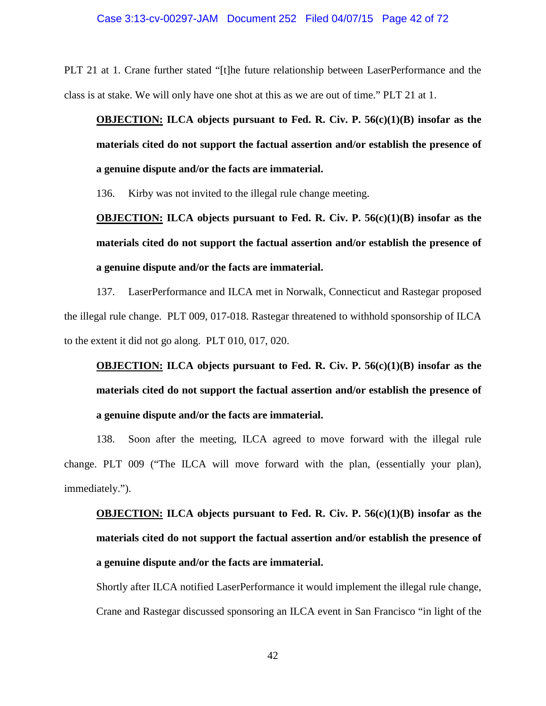PLT 21 at 1. Crane further stated "[t]he future relationship between LaserPerformance and the class is at stake. We will only have one shot at this as we are out of time." PLT 21 at 1.

**OBJECTION: ILCA objects pursuant to Fed. R. Civ. P. 56(c)(1)(B) insofar as the materials cited do not support the factual assertion and/or establish the presence of a genuine dispute and/or the facts are immaterial.** 

136. Kirby was not invited to the illegal rule change meeting.

**OBJECTION: ILCA objects pursuant to Fed. R. Civ. P. 56(c)(1)(B) insofar as the materials cited do not support the factual assertion and/or establish the presence of a genuine dispute and/or the facts are immaterial.** 

137. LaserPerformance and ILCA met in Norwalk, Connecticut and Rastegar proposed the illegal rule change. PLT 009, 017-018. Rastegar threatened to withhold sponsorship of ILCA to the extent it did not go along. PLT 010, 017, 020.

**OBJECTION: ILCA objects pursuant to Fed. R. Civ. P. 56(c)(1)(B) insofar as the materials cited do not support the factual assertion and/or establish the presence of a genuine dispute and/or the facts are immaterial.** 

138. Soon after the meeting, ILCA agreed to move forward with the illegal rule change. PLT 009 ("The ILCA will move forward with the plan, (essentially your plan), immediately.").

**OBJECTION: ILCA objects pursuant to Fed. R. Civ. P. 56(c)(1)(B) insofar as the materials cited do not support the factual assertion and/or establish the presence of a genuine dispute and/or the facts are immaterial.** 

Shortly after ILCA notified LaserPerformance it would implement the illegal rule change, Crane and Rastegar discussed sponsoring an ILCA event in San Francisco "in light of the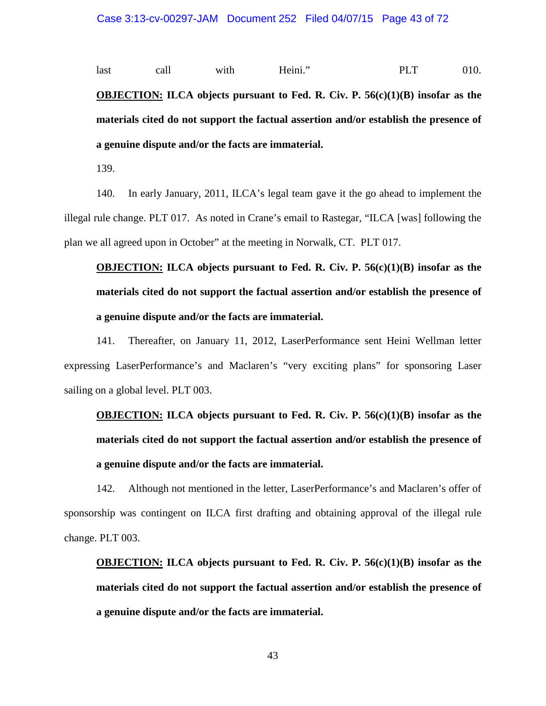last call with Heini." PLT 010. **OBJECTION: ILCA objects pursuant to Fed. R. Civ. P. 56(c)(1)(B) insofar as the materials cited do not support the factual assertion and/or establish the presence of a genuine dispute and/or the facts are immaterial.** 

139.

140. In early January, 2011, ILCA's legal team gave it the go ahead to implement the illegal rule change. PLT 017. As noted in Crane's email to Rastegar, "ILCA [was] following the plan we all agreed upon in October" at the meeting in Norwalk, CT. PLT 017.

**OBJECTION: ILCA objects pursuant to Fed. R. Civ. P. 56(c)(1)(B) insofar as the materials cited do not support the factual assertion and/or establish the presence of a genuine dispute and/or the facts are immaterial.** 

141. Thereafter, on January 11, 2012, LaserPerformance sent Heini Wellman letter expressing LaserPerformance's and Maclaren's "very exciting plans" for sponsoring Laser sailing on a global level. PLT 003.

**OBJECTION: ILCA objects pursuant to Fed. R. Civ. P. 56(c)(1)(B) insofar as the materials cited do not support the factual assertion and/or establish the presence of a genuine dispute and/or the facts are immaterial.** 

142. Although not mentioned in the letter, LaserPerformance's and Maclaren's offer of sponsorship was contingent on ILCA first drafting and obtaining approval of the illegal rule change. PLT 003.

**OBJECTION: ILCA objects pursuant to Fed. R. Civ. P. 56(c)(1)(B) insofar as the materials cited do not support the factual assertion and/or establish the presence of a genuine dispute and/or the facts are immaterial.** 

43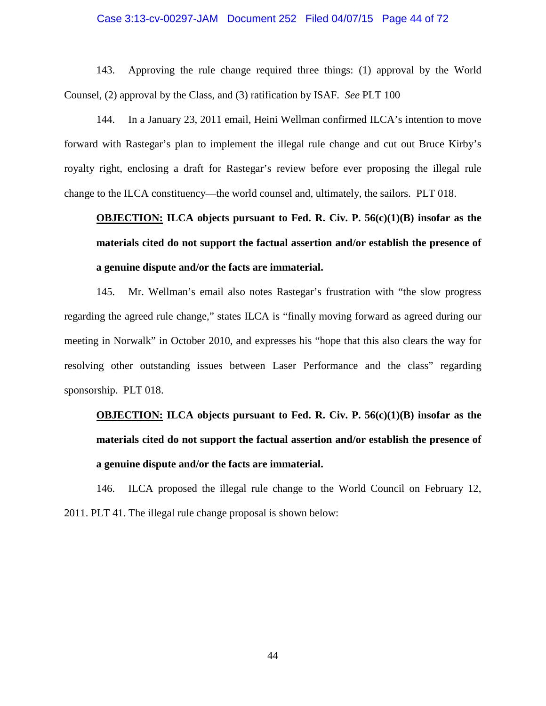### Case 3:13-cv-00297-JAM Document 252 Filed 04/07/15 Page 44 of 72

143. Approving the rule change required three things: (1) approval by the World Counsel, (2) approval by the Class, and (3) ratification by ISAF. *See* PLT 100

144. In a January 23, 2011 email, Heini Wellman confirmed ILCA's intention to move forward with Rastegar's plan to implement the illegal rule change and cut out Bruce Kirby's royalty right, enclosing a draft for Rastegar's review before ever proposing the illegal rule change to the ILCA constituency—the world counsel and, ultimately, the sailors. PLT 018.

# **OBJECTION: ILCA objects pursuant to Fed. R. Civ. P. 56(c)(1)(B) insofar as the materials cited do not support the factual assertion and/or establish the presence of a genuine dispute and/or the facts are immaterial.**

145. Mr. Wellman's email also notes Rastegar's frustration with "the slow progress regarding the agreed rule change," states ILCA is "finally moving forward as agreed during our meeting in Norwalk" in October 2010, and expresses his "hope that this also clears the way for resolving other outstanding issues between Laser Performance and the class" regarding sponsorship. PLT 018.

# **OBJECTION: ILCA objects pursuant to Fed. R. Civ. P. 56(c)(1)(B) insofar as the materials cited do not support the factual assertion and/or establish the presence of a genuine dispute and/or the facts are immaterial.**

146. ILCA proposed the illegal rule change to the World Council on February 12, 2011. PLT 41. The illegal rule change proposal is shown below: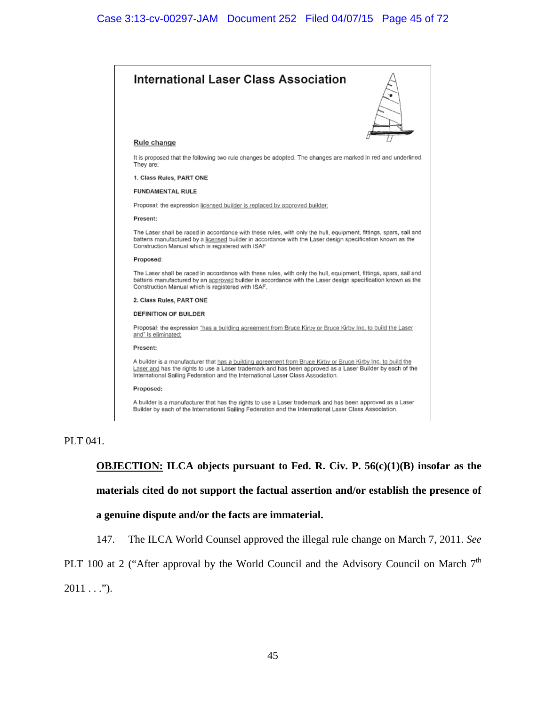

### PLT 041.

**OBJECTION: ILCA objects pursuant to Fed. R. Civ. P. 56(c)(1)(B) insofar as the materials cited do not support the factual assertion and/or establish the presence of** 

#### **a genuine dispute and/or the facts are immaterial.**

147. The ILCA World Counsel approved the illegal rule change on March 7, 2011. *See* 

PLT 100 at 2 ("After approval by the World Council and the Advisory Council on March  $7<sup>th</sup>$ 

 $2011...$ ").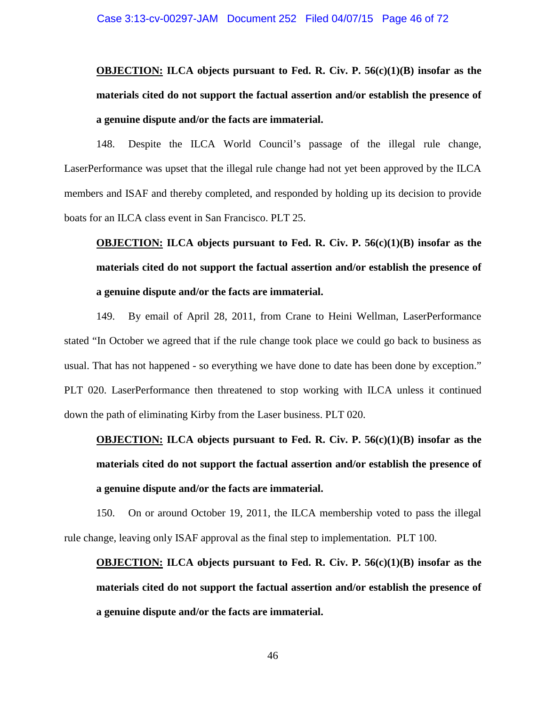# **OBJECTION: ILCA objects pursuant to Fed. R. Civ. P. 56(c)(1)(B) insofar as the materials cited do not support the factual assertion and/or establish the presence of a genuine dispute and/or the facts are immaterial.**

148. Despite the ILCA World Council's passage of the illegal rule change, LaserPerformance was upset that the illegal rule change had not yet been approved by the ILCA members and ISAF and thereby completed, and responded by holding up its decision to provide boats for an ILCA class event in San Francisco. PLT 25.

# **OBJECTION: ILCA objects pursuant to Fed. R. Civ. P. 56(c)(1)(B) insofar as the materials cited do not support the factual assertion and/or establish the presence of a genuine dispute and/or the facts are immaterial.**

149. By email of April 28, 2011, from Crane to Heini Wellman, LaserPerformance stated "In October we agreed that if the rule change took place we could go back to business as usual. That has not happened - so everything we have done to date has been done by exception." PLT 020. LaserPerformance then threatened to stop working with ILCA unless it continued down the path of eliminating Kirby from the Laser business. PLT 020.

# **OBJECTION: ILCA objects pursuant to Fed. R. Civ. P. 56(c)(1)(B) insofar as the materials cited do not support the factual assertion and/or establish the presence of a genuine dispute and/or the facts are immaterial.**

150. On or around October 19, 2011, the ILCA membership voted to pass the illegal rule change, leaving only ISAF approval as the final step to implementation. PLT 100.

**OBJECTION: ILCA objects pursuant to Fed. R. Civ. P. 56(c)(1)(B) insofar as the materials cited do not support the factual assertion and/or establish the presence of a genuine dispute and/or the facts are immaterial.**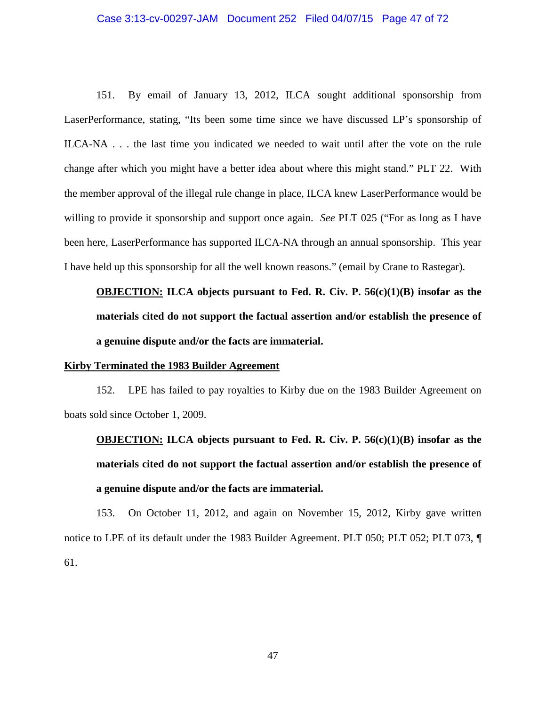# Case 3:13-cv-00297-JAM Document 252 Filed 04/07/15 Page 47 of 72

151. By email of January 13, 2012, ILCA sought additional sponsorship from LaserPerformance, stating, "Its been some time since we have discussed LP's sponsorship of ILCA-NA . . . the last time you indicated we needed to wait until after the vote on the rule change after which you might have a better idea about where this might stand." PLT 22. With the member approval of the illegal rule change in place, ILCA knew LaserPerformance would be willing to provide it sponsorship and support once again. *See* PLT 025 ("For as long as I have been here, LaserPerformance has supported ILCA-NA through an annual sponsorship. This year I have held up this sponsorship for all the well known reasons." (email by Crane to Rastegar).

**OBJECTION: ILCA objects pursuant to Fed. R. Civ. P. 56(c)(1)(B) insofar as the materials cited do not support the factual assertion and/or establish the presence of a genuine dispute and/or the facts are immaterial.** 

#### **Kirby Terminated the 1983 Builder Agreement**

152. LPE has failed to pay royalties to Kirby due on the 1983 Builder Agreement on boats sold since October 1, 2009.

**OBJECTION: ILCA objects pursuant to Fed. R. Civ. P. 56(c)(1)(B) insofar as the materials cited do not support the factual assertion and/or establish the presence of a genuine dispute and/or the facts are immaterial.** 

153. On October 11, 2012, and again on November 15, 2012, Kirby gave written notice to LPE of its default under the 1983 Builder Agreement. PLT 050; PLT 052; PLT 073, 61.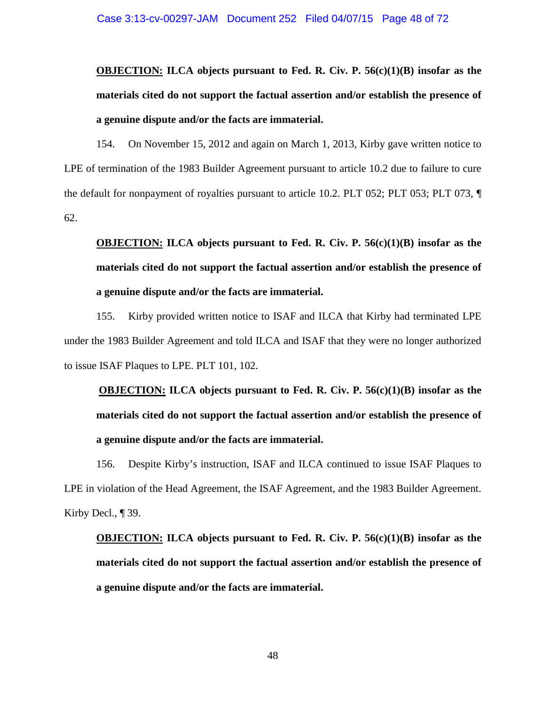**OBJECTION: ILCA objects pursuant to Fed. R. Civ. P. 56(c)(1)(B) insofar as the materials cited do not support the factual assertion and/or establish the presence of a genuine dispute and/or the facts are immaterial.** 

154. On November 15, 2012 and again on March 1, 2013, Kirby gave written notice to LPE of termination of the 1983 Builder Agreement pursuant to article 10.2 due to failure to cure the default for nonpayment of royalties pursuant to article 10.2. PLT 052; PLT 053; PLT 073, ¶ 62.

# **OBJECTION: ILCA objects pursuant to Fed. R. Civ. P. 56(c)(1)(B) insofar as the materials cited do not support the factual assertion and/or establish the presence of a genuine dispute and/or the facts are immaterial.**

155. Kirby provided written notice to ISAF and ILCA that Kirby had terminated LPE under the 1983 Builder Agreement and told ILCA and ISAF that they were no longer authorized to issue ISAF Plaques to LPE. PLT 101, 102.

**OBJECTION: ILCA objects pursuant to Fed. R. Civ. P. 56(c)(1)(B) insofar as the materials cited do not support the factual assertion and/or establish the presence of a genuine dispute and/or the facts are immaterial.** 

156. Despite Kirby's instruction, ISAF and ILCA continued to issue ISAF Plaques to LPE in violation of the Head Agreement, the ISAF Agreement, and the 1983 Builder Agreement. Kirby Decl., ¶ 39.

# **OBJECTION: ILCA objects pursuant to Fed. R. Civ. P. 56(c)(1)(B) insofar as the materials cited do not support the factual assertion and/or establish the presence of a genuine dispute and/or the facts are immaterial.**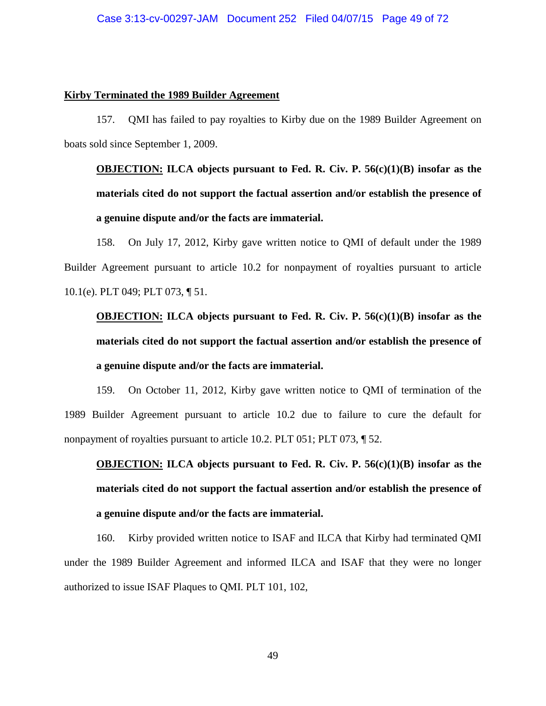#### **Kirby Terminated the 1989 Builder Agreement**

157. QMI has failed to pay royalties to Kirby due on the 1989 Builder Agreement on boats sold since September 1, 2009.

**OBJECTION: ILCA objects pursuant to Fed. R. Civ. P. 56(c)(1)(B) insofar as the materials cited do not support the factual assertion and/or establish the presence of a genuine dispute and/or the facts are immaterial.** 

158. On July 17, 2012, Kirby gave written notice to QMI of default under the 1989 Builder Agreement pursuant to article 10.2 for nonpayment of royalties pursuant to article 10.1(e). PLT 049; PLT 073, ¶ 51.

**OBJECTION: ILCA objects pursuant to Fed. R. Civ. P. 56(c)(1)(B) insofar as the materials cited do not support the factual assertion and/or establish the presence of a genuine dispute and/or the facts are immaterial.** 

159. On October 11, 2012, Kirby gave written notice to QMI of termination of the 1989 Builder Agreement pursuant to article 10.2 due to failure to cure the default for nonpayment of royalties pursuant to article 10.2. PLT 051; PLT 073, ¶ 52.

**OBJECTION: ILCA objects pursuant to Fed. R. Civ. P. 56(c)(1)(B) insofar as the materials cited do not support the factual assertion and/or establish the presence of a genuine dispute and/or the facts are immaterial.** 

160. Kirby provided written notice to ISAF and ILCA that Kirby had terminated QMI under the 1989 Builder Agreement and informed ILCA and ISAF that they were no longer authorized to issue ISAF Plaques to QMI. PLT 101, 102,

49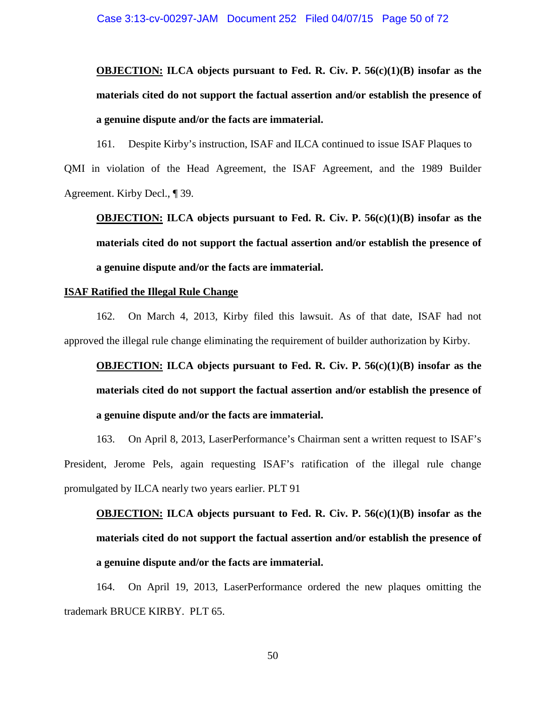# **OBJECTION: ILCA objects pursuant to Fed. R. Civ. P. 56(c)(1)(B) insofar as the materials cited do not support the factual assertion and/or establish the presence of a genuine dispute and/or the facts are immaterial.**

161. Despite Kirby's instruction, ISAF and ILCA continued to issue ISAF Plaques to QMI in violation of the Head Agreement, the ISAF Agreement, and the 1989 Builder Agreement. Kirby Decl., ¶ 39.

**OBJECTION: ILCA objects pursuant to Fed. R. Civ. P. 56(c)(1)(B) insofar as the materials cited do not support the factual assertion and/or establish the presence of a genuine dispute and/or the facts are immaterial.** 

#### **ISAF Ratified the Illegal Rule Change**

162. On March 4, 2013, Kirby filed this lawsuit. As of that date, ISAF had not approved the illegal rule change eliminating the requirement of builder authorization by Kirby.

**OBJECTION: ILCA objects pursuant to Fed. R. Civ. P. 56(c)(1)(B) insofar as the materials cited do not support the factual assertion and/or establish the presence of a genuine dispute and/or the facts are immaterial.** 

163. On April 8, 2013, LaserPerformance's Chairman sent a written request to ISAF's President, Jerome Pels, again requesting ISAF's ratification of the illegal rule change promulgated by ILCA nearly two years earlier. PLT 91

**OBJECTION: ILCA objects pursuant to Fed. R. Civ. P. 56(c)(1)(B) insofar as the materials cited do not support the factual assertion and/or establish the presence of a genuine dispute and/or the facts are immaterial.** 

164. On April 19, 2013, LaserPerformance ordered the new plaques omitting the trademark BRUCE KIRBY. PLT 65.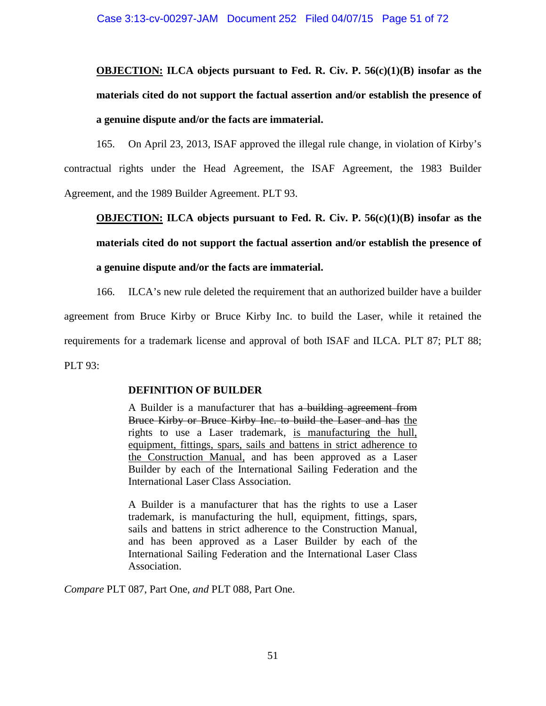# **OBJECTION: ILCA objects pursuant to Fed. R. Civ. P. 56(c)(1)(B) insofar as the materials cited do not support the factual assertion and/or establish the presence of a genuine dispute and/or the facts are immaterial.**

165. On April 23, 2013, ISAF approved the illegal rule change, in violation of Kirby's contractual rights under the Head Agreement, the ISAF Agreement, the 1983 Builder Agreement, and the 1989 Builder Agreement. PLT 93.

**OBJECTION: ILCA objects pursuant to Fed. R. Civ. P. 56(c)(1)(B) insofar as the materials cited do not support the factual assertion and/or establish the presence of a genuine dispute and/or the facts are immaterial.** 

166. ILCA's new rule deleted the requirement that an authorized builder have a builder agreement from Bruce Kirby or Bruce Kirby Inc. to build the Laser, while it retained the requirements for a trademark license and approval of both ISAF and ILCA. PLT 87; PLT 88; PLT 93:

### **DEFINITION OF BUILDER**

A Builder is a manufacturer that has a building agreement from Bruce Kirby or Bruce Kirby Inc. to build the Laser and has the rights to use a Laser trademark, is manufacturing the hull, equipment, fittings, spars, sails and battens in strict adherence to the Construction Manual, and has been approved as a Laser Builder by each of the International Sailing Federation and the International Laser Class Association.

A Builder is a manufacturer that has the rights to use a Laser trademark, is manufacturing the hull, equipment, fittings, spars, sails and battens in strict adherence to the Construction Manual, and has been approved as a Laser Builder by each of the International Sailing Federation and the International Laser Class Association.

*Compare* PLT 087, Part One, *and* PLT 088, Part One.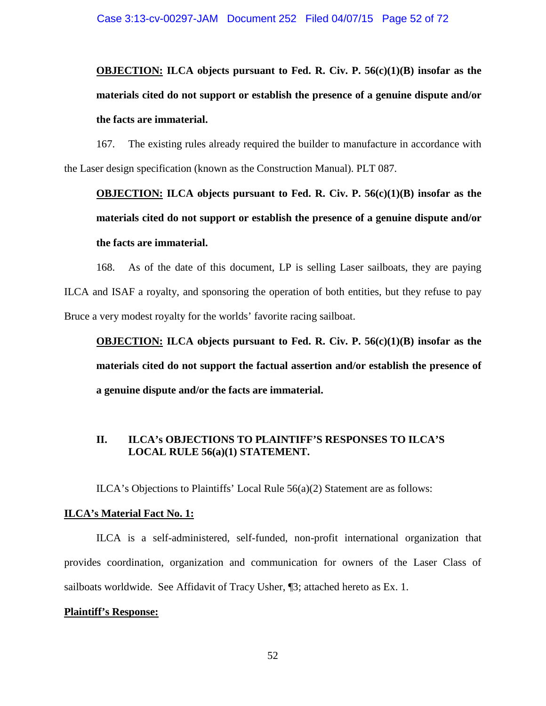**OBJECTION: ILCA objects pursuant to Fed. R. Civ. P. 56(c)(1)(B) insofar as the materials cited do not support or establish the presence of a genuine dispute and/or the facts are immaterial.** 

167. The existing rules already required the builder to manufacture in accordance with the Laser design specification (known as the Construction Manual). PLT 087.

# **OBJECTION: ILCA objects pursuant to Fed. R. Civ. P. 56(c)(1)(B) insofar as the materials cited do not support or establish the presence of a genuine dispute and/or the facts are immaterial.**

168. As of the date of this document, LP is selling Laser sailboats, they are paying ILCA and ISAF a royalty, and sponsoring the operation of both entities, but they refuse to pay Bruce a very modest royalty for the worlds' favorite racing sailboat.

**OBJECTION: ILCA objects pursuant to Fed. R. Civ. P. 56(c)(1)(B) insofar as the materials cited do not support the factual assertion and/or establish the presence of a genuine dispute and/or the facts are immaterial.** 

## **II. ILCA's OBJECTIONS TO PLAINTIFF'S RESPONSES TO ILCA'S LOCAL RULE 56(a)(1) STATEMENT.**

ILCA's Objections to Plaintiffs' Local Rule 56(a)(2) Statement are as follows:

### **ILCA's Material Fact No. 1:**

ILCA is a self-administered, self-funded, non-profit international organization that provides coordination, organization and communication for owners of the Laser Class of sailboats worldwide. See Affidavit of Tracy Usher, ¶3; attached hereto as Ex. 1.

### **Plaintiff's Response:**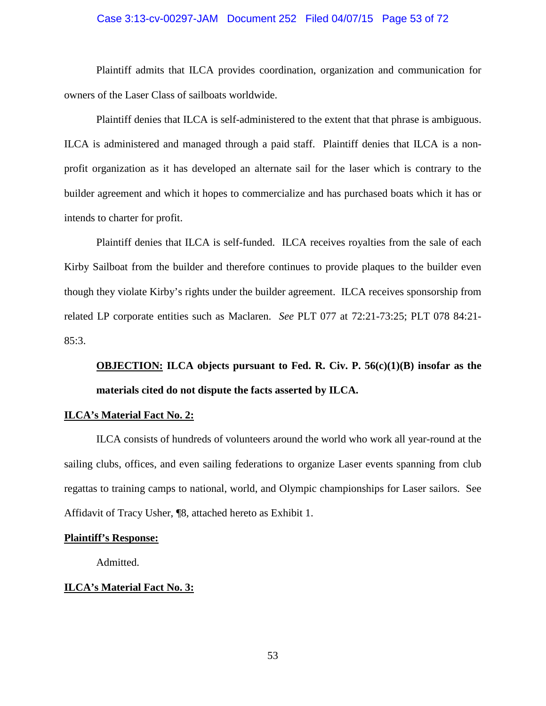#### Case 3:13-cv-00297-JAM Document 252 Filed 04/07/15 Page 53 of 72

Plaintiff admits that ILCA provides coordination, organization and communication for owners of the Laser Class of sailboats worldwide.

Plaintiff denies that ILCA is self-administered to the extent that that phrase is ambiguous. ILCA is administered and managed through a paid staff. Plaintiff denies that ILCA is a nonprofit organization as it has developed an alternate sail for the laser which is contrary to the builder agreement and which it hopes to commercialize and has purchased boats which it has or intends to charter for profit.

Plaintiff denies that ILCA is self-funded. ILCA receives royalties from the sale of each Kirby Sailboat from the builder and therefore continues to provide plaques to the builder even though they violate Kirby's rights under the builder agreement. ILCA receives sponsorship from related LP corporate entities such as Maclaren. *See* PLT 077 at 72:21-73:25; PLT 078 84:21- 85:3.

**OBJECTION: ILCA objects pursuant to Fed. R. Civ. P. 56(c)(1)(B) insofar as the materials cited do not dispute the facts asserted by ILCA.** 

#### **ILCA's Material Fact No. 2:**

ILCA consists of hundreds of volunteers around the world who work all year-round at the sailing clubs, offices, and even sailing federations to organize Laser events spanning from club regattas to training camps to national, world, and Olympic championships for Laser sailors. See Affidavit of Tracy Usher, ¶8, attached hereto as Exhibit 1.

#### **Plaintiff's Response:**

Admitted.

### **ILCA's Material Fact No. 3:**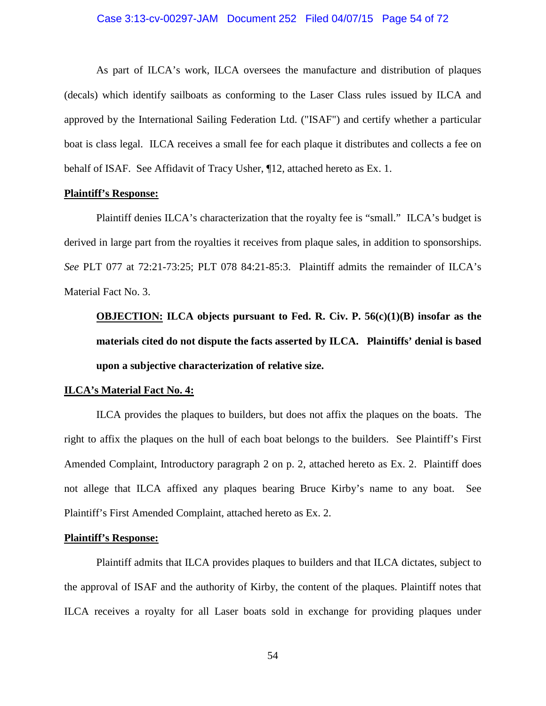#### Case 3:13-cv-00297-JAM Document 252 Filed 04/07/15 Page 54 of 72

As part of ILCA's work, ILCA oversees the manufacture and distribution of plaques (decals) which identify sailboats as conforming to the Laser Class rules issued by ILCA and approved by the International Sailing Federation Ltd. ("ISAF") and certify whether a particular boat is class legal. ILCA receives a small fee for each plaque it distributes and collects a fee on behalf of ISAF. See Affidavit of Tracy Usher, ¶12, attached hereto as Ex. 1.

#### **Plaintiff's Response:**

Plaintiff denies ILCA's characterization that the royalty fee is "small." ILCA's budget is derived in large part from the royalties it receives from plaque sales, in addition to sponsorships. *See* PLT 077 at 72:21-73:25; PLT 078 84:21-85:3. Plaintiff admits the remainder of ILCA's Material Fact No. 3.

**OBJECTION: ILCA objects pursuant to Fed. R. Civ. P. 56(c)(1)(B) insofar as the materials cited do not dispute the facts asserted by ILCA. Plaintiffs' denial is based upon a subjective characterization of relative size.** 

#### **ILCA's Material Fact No. 4:**

ILCA provides the plaques to builders, but does not affix the plaques on the boats. The right to affix the plaques on the hull of each boat belongs to the builders. See Plaintiff's First Amended Complaint, Introductory paragraph 2 on p. 2, attached hereto as Ex. 2. Plaintiff does not allege that ILCA affixed any plaques bearing Bruce Kirby's name to any boat. See Plaintiff's First Amended Complaint, attached hereto as Ex. 2.

#### **Plaintiff's Response:**

Plaintiff admits that ILCA provides plaques to builders and that ILCA dictates, subject to the approval of ISAF and the authority of Kirby, the content of the plaques. Plaintiff notes that ILCA receives a royalty for all Laser boats sold in exchange for providing plaques under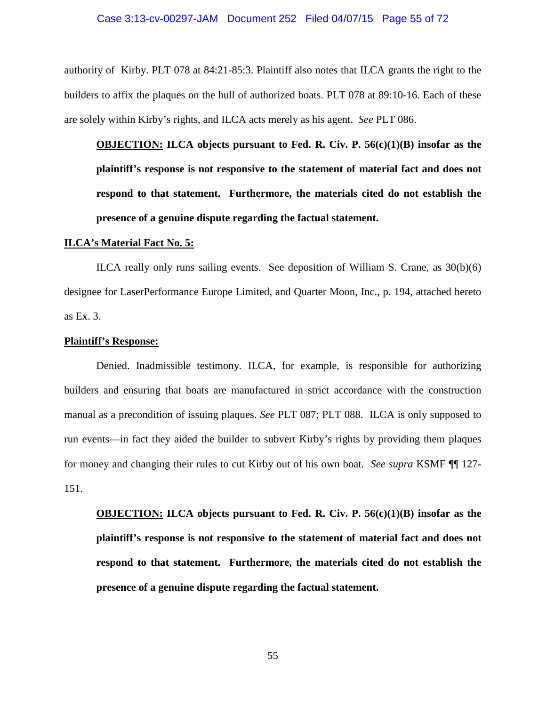### Case 3:13-cv-00297-JAM Document 252 Filed 04/07/15 Page 55 of 72

authority of Kirby. PLT 078 at 84:21-85:3. Plaintiff also notes that ILCA grants the right to the builders to affix the plaques on the hull of authorized boats. PLT 078 at 89:10-16. Each of these are solely within Kirby's rights, and ILCA acts merely as his agent. *See* PLT 086.

**OBJECTION: ILCA objects pursuant to Fed. R. Civ. P. 56(c)(1)(B) insofar as the plaintiff's response is not responsive to the statement of material fact and does not respond to that statement. Furthermore, the materials cited do not establish the presence of a genuine dispute regarding the factual statement.** 

#### **ILCA's Material Fact No. 5:**

ILCA really only runs sailing events. See deposition of William S. Crane, as 30(b)(6) designee for LaserPerformance Europe Limited, and Quarter Moon, Inc., p. 194, attached hereto as Ex. 3.

#### **Plaintiff's Response:**

Denied. Inadmissible testimony. ILCA, for example, is responsible for authorizing builders and ensuring that boats are manufactured in strict accordance with the construction manual as a precondition of issuing plaques. *See* PLT 087; PLT 088. ILCA is only supposed to run events—in fact they aided the builder to subvert Kirby's rights by providing them plaques for money and changing their rules to cut Kirby out of his own boat. *See supra* KSMF ¶¶ 127- 151.

**OBJECTION: ILCA objects pursuant to Fed. R. Civ. P. 56(c)(1)(B) insofar as the plaintiff's response is not responsive to the statement of material fact and does not respond to that statement. Furthermore, the materials cited do not establish the presence of a genuine dispute regarding the factual statement.**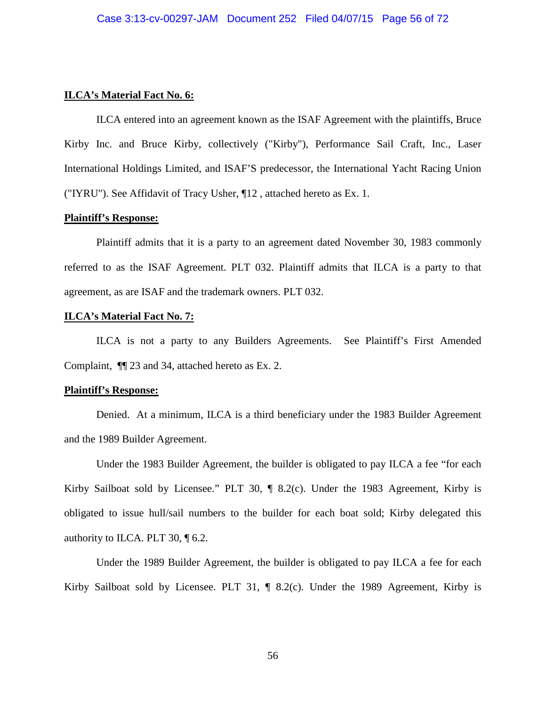#### **ILCA's Material Fact No. 6:**

ILCA entered into an agreement known as the ISAF Agreement with the plaintiffs, Bruce Kirby Inc. and Bruce Kirby, collectively ("Kirby"), Performance Sail Craft, Inc., Laser International Holdings Limited, and ISAF'S predecessor, the International Yacht Racing Union ("IYRU"). See Affidavit of Tracy Usher, ¶12 , attached hereto as Ex. 1.

#### **Plaintiff's Response:**

Plaintiff admits that it is a party to an agreement dated November 30, 1983 commonly referred to as the ISAF Agreement. PLT 032. Plaintiff admits that ILCA is a party to that agreement, as are ISAF and the trademark owners. PLT 032.

#### **ILCA's Material Fact No. 7:**

ILCA is not a party to any Builders Agreements. See Plaintiff's First Amended Complaint, ¶¶ 23 and 34, attached hereto as Ex. 2.

#### **Plaintiff's Response:**

Denied. At a minimum, ILCA is a third beneficiary under the 1983 Builder Agreement and the 1989 Builder Agreement.

Under the 1983 Builder Agreement, the builder is obligated to pay ILCA a fee "for each Kirby Sailboat sold by Licensee." PLT 30, ¶ 8.2(c). Under the 1983 Agreement, Kirby is obligated to issue hull/sail numbers to the builder for each boat sold; Kirby delegated this authority to ILCA. PLT 30, ¶ 6.2.

Under the 1989 Builder Agreement, the builder is obligated to pay ILCA a fee for each Kirby Sailboat sold by Licensee. PLT 31, ¶ 8.2(c). Under the 1989 Agreement, Kirby is

56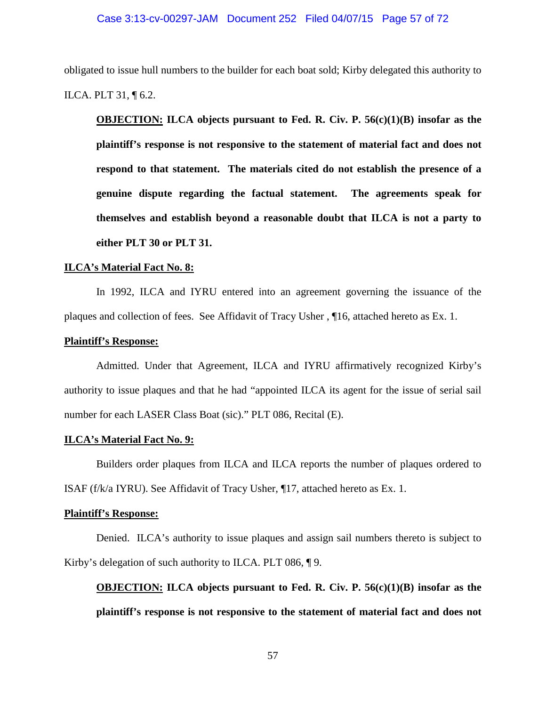#### Case 3:13-cv-00297-JAM Document 252 Filed 04/07/15 Page 57 of 72

obligated to issue hull numbers to the builder for each boat sold; Kirby delegated this authority to ILCA. PLT 31, ¶ 6.2.

**OBJECTION: ILCA objects pursuant to Fed. R. Civ. P. 56(c)(1)(B) insofar as the plaintiff's response is not responsive to the statement of material fact and does not respond to that statement. The materials cited do not establish the presence of a genuine dispute regarding the factual statement. The agreements speak for themselves and establish beyond a reasonable doubt that ILCA is not a party to either PLT 30 or PLT 31.** 

#### **ILCA's Material Fact No. 8:**

In 1992, ILCA and IYRU entered into an agreement governing the issuance of the plaques and collection of fees. See Affidavit of Tracy Usher , ¶16, attached hereto as Ex. 1.

#### **Plaintiff's Response:**

Admitted. Under that Agreement, ILCA and IYRU affirmatively recognized Kirby's authority to issue plaques and that he had "appointed ILCA its agent for the issue of serial sail number for each LASER Class Boat (sic)." PLT 086, Recital (E).

#### **ILCA's Material Fact No. 9:**

Builders order plaques from ILCA and ILCA reports the number of plaques ordered to ISAF (f/k/a IYRU). See Affidavit of Tracy Usher, ¶17, attached hereto as Ex. 1.

#### **Plaintiff's Response:**

Denied. ILCA's authority to issue plaques and assign sail numbers thereto is subject to Kirby's delegation of such authority to ILCA. PLT 086, ¶ 9.

**OBJECTION: ILCA objects pursuant to Fed. R. Civ. P. 56(c)(1)(B) insofar as the plaintiff's response is not responsive to the statement of material fact and does not**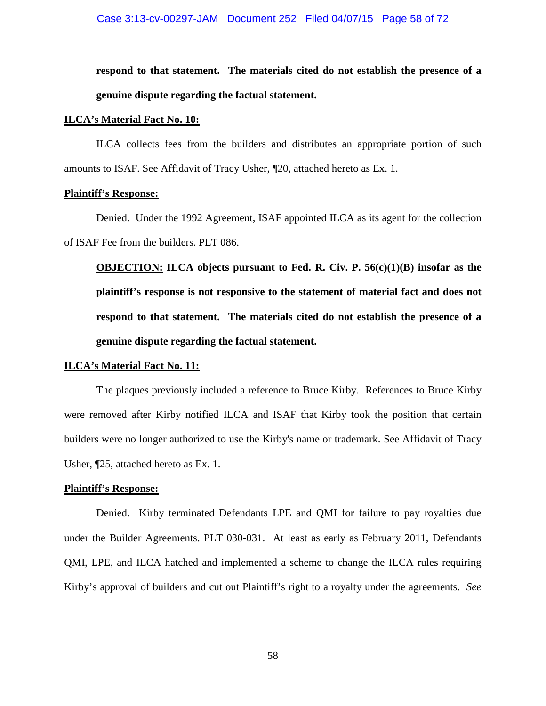#### Case 3:13-cv-00297-JAM Document 252 Filed 04/07/15 Page 58 of 72

**respond to that statement. The materials cited do not establish the presence of a genuine dispute regarding the factual statement.** 

#### **ILCA's Material Fact No. 10:**

ILCA collects fees from the builders and distributes an appropriate portion of such amounts to ISAF. See Affidavit of Tracy Usher, ¶20, attached hereto as Ex. 1.

#### **Plaintiff's Response:**

Denied. Under the 1992 Agreement, ISAF appointed ILCA as its agent for the collection of ISAF Fee from the builders. PLT 086.

**OBJECTION: ILCA objects pursuant to Fed. R. Civ. P. 56(c)(1)(B) insofar as the plaintiff's response is not responsive to the statement of material fact and does not respond to that statement. The materials cited do not establish the presence of a genuine dispute regarding the factual statement.** 

#### **ILCA's Material Fact No. 11:**

The plaques previously included a reference to Bruce Kirby. References to Bruce Kirby were removed after Kirby notified ILCA and ISAF that Kirby took the position that certain builders were no longer authorized to use the Kirby's name or trademark. See Affidavit of Tracy Usher, ¶25, attached hereto as Ex. 1.

### **Plaintiff's Response:**

Denied. Kirby terminated Defendants LPE and QMI for failure to pay royalties due under the Builder Agreements. PLT 030-031. At least as early as February 2011, Defendants QMI, LPE, and ILCA hatched and implemented a scheme to change the ILCA rules requiring Kirby's approval of builders and cut out Plaintiff's right to a royalty under the agreements. *See*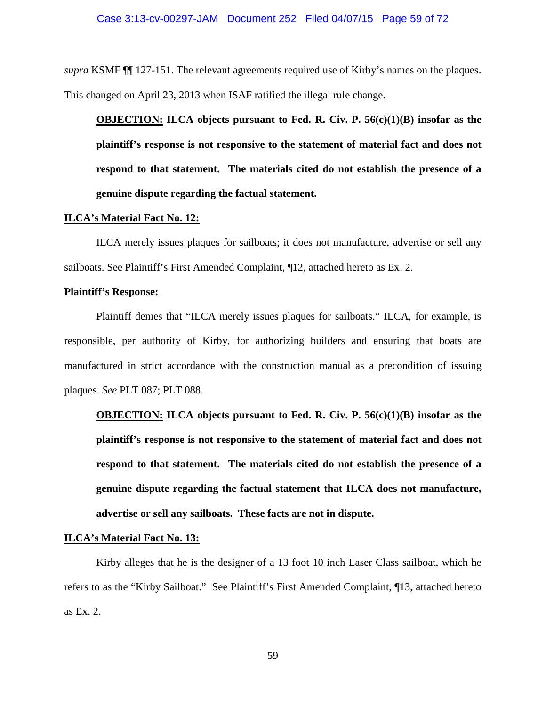*supra* KSMF ¶¶ 127-151. The relevant agreements required use of Kirby's names on the plaques. This changed on April 23, 2013 when ISAF ratified the illegal rule change.

**OBJECTION: ILCA objects pursuant to Fed. R. Civ. P. 56(c)(1)(B) insofar as the plaintiff's response is not responsive to the statement of material fact and does not respond to that statement. The materials cited do not establish the presence of a genuine dispute regarding the factual statement.** 

#### **ILCA's Material Fact No. 12:**

ILCA merely issues plaques for sailboats; it does not manufacture, advertise or sell any sailboats. See Plaintiff's First Amended Complaint, ¶12, attached hereto as Ex. 2.

#### **Plaintiff's Response:**

Plaintiff denies that "ILCA merely issues plaques for sailboats." ILCA, for example, is responsible, per authority of Kirby, for authorizing builders and ensuring that boats are manufactured in strict accordance with the construction manual as a precondition of issuing plaques. *See* PLT 087; PLT 088.

**OBJECTION: ILCA objects pursuant to Fed. R. Civ. P. 56(c)(1)(B) insofar as the plaintiff's response is not responsive to the statement of material fact and does not respond to that statement. The materials cited do not establish the presence of a genuine dispute regarding the factual statement that ILCA does not manufacture, advertise or sell any sailboats. These facts are not in dispute.** 

### **ILCA's Material Fact No. 13:**

Kirby alleges that he is the designer of a 13 foot 10 inch Laser Class sailboat, which he refers to as the "Kirby Sailboat." See Plaintiff's First Amended Complaint, ¶13, attached hereto as Ex. 2.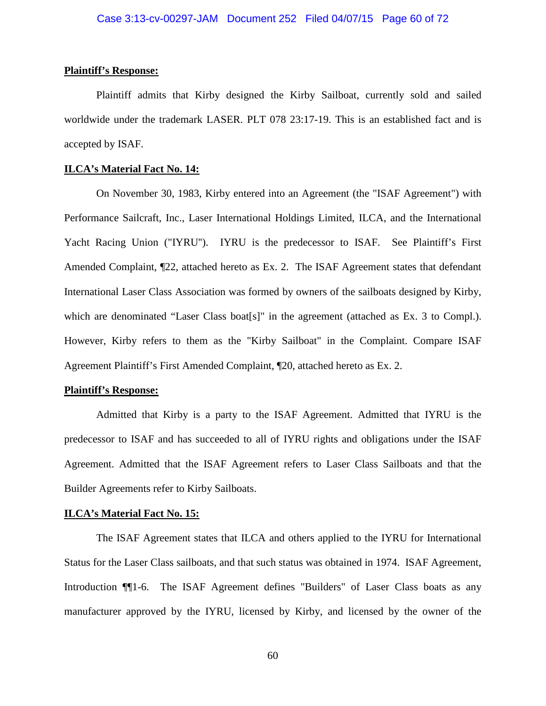#### **Plaintiff's Response:**

Plaintiff admits that Kirby designed the Kirby Sailboat, currently sold and sailed worldwide under the trademark LASER. PLT 078 23:17-19. This is an established fact and is accepted by ISAF.

#### **ILCA's Material Fact No. 14:**

On November 30, 1983, Kirby entered into an Agreement (the "ISAF Agreement") with Performance Sailcraft, Inc., Laser International Holdings Limited, ILCA, and the International Yacht Racing Union ("IYRU''). IYRU is the predecessor to ISAF. See Plaintiff's First Amended Complaint, ¶22, attached hereto as Ex. 2. The ISAF Agreement states that defendant International Laser Class Association was formed by owners of the sailboats designed by Kirby, which are denominated "Laser Class boat[s]" in the agreement (attached as Ex. 3 to Compl.). However, Kirby refers to them as the "Kirby Sailboat" in the Complaint. Compare ISAF Agreement Plaintiff's First Amended Complaint, ¶20, attached hereto as Ex. 2.

### **Plaintiff's Response:**

Admitted that Kirby is a party to the ISAF Agreement. Admitted that IYRU is the predecessor to ISAF and has succeeded to all of IYRU rights and obligations under the ISAF Agreement. Admitted that the ISAF Agreement refers to Laser Class Sailboats and that the Builder Agreements refer to Kirby Sailboats.

#### **ILCA's Material Fact No. 15:**

The ISAF Agreement states that ILCA and others applied to the IYRU for International Status for the Laser Class sailboats, and that such status was obtained in 1974. ISAF Agreement, Introduction ¶¶1-6. The ISAF Agreement defines "Builders" of Laser Class boats as any manufacturer approved by the IYRU, licensed by Kirby, and licensed by the owner of the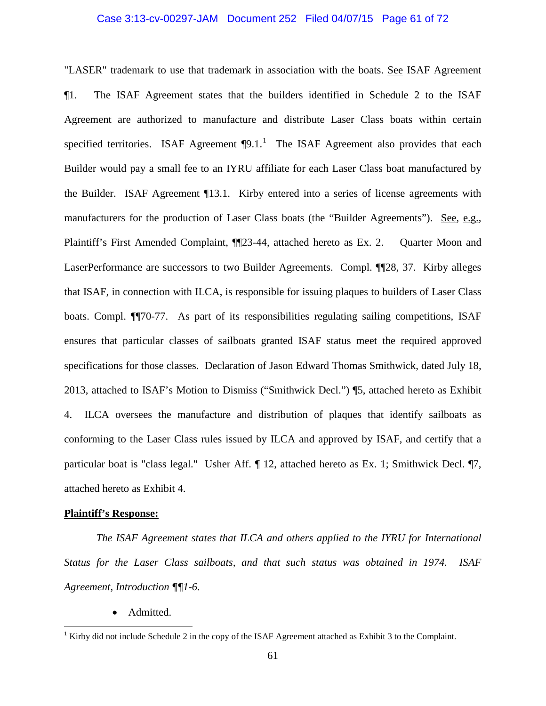## Case 3:13-cv-00297-JAM Document 252 Filed 04/07/15 Page 61 of 72

"LASER" trademark to use that trademark in association with the boats. See ISAF Agreement ¶1. The ISAF Agreement states that the builders identified in Schedule 2 to the ISAF Agreement are authorized to manufacture and distribute Laser Class boats within certain specified territories. ISAF Agreement  $\P{9.1}$  $\P{9.1}$  $\P{9.1}$ .<sup>1</sup> The ISAF Agreement also provides that each Builder would pay a small fee to an IYRU affiliate for each Laser Class boat manufactured by the Builder. ISAF Agreement ¶13.1. Kirby entered into a series of license agreements with manufacturers for the production of Laser Class boats (the "Builder Agreements"). See, e.g., Plaintiff's First Amended Complaint, ¶¶23-44, attached hereto as Ex. 2. Quarter Moon and LaserPerformance are successors to two Builder Agreements. Compl. ¶¶28, 37. Kirby alleges that ISAF, in connection with ILCA, is responsible for issuing plaques to builders of Laser Class boats. Compl. ¶¶70-77. As part of its responsibilities regulating sailing competitions, ISAF ensures that particular classes of sailboats granted ISAF status meet the required approved specifications for those classes. Declaration of Jason Edward Thomas Smithwick, dated July 18, 2013, attached to ISAF's Motion to Dismiss ("Smithwick Decl.") ¶5, attached hereto as Exhibit 4. ILCA oversees the manufacture and distribution of plaques that identify sailboats as conforming to the Laser Class rules issued by ILCA and approved by ISAF, and certify that a particular boat is "class legal." Usher Aff. ¶ 12, attached hereto as Ex. 1; Smithwick Decl. ¶7, attached hereto as Exhibit 4.

#### **Plaintiff's Response:**

*The ISAF Agreement states that ILCA and others applied to the IYRU for International Status for the Laser Class sailboats, and that such status was obtained in 1974. ISAF Agreement, Introduction ¶¶1-6.* 

• Admitted.

<span id="page-60-0"></span><sup>&</sup>lt;sup>1</sup> Kirby did not include Schedule 2 in the copy of the ISAF Agreement attached as Exhibit 3 to the Complaint.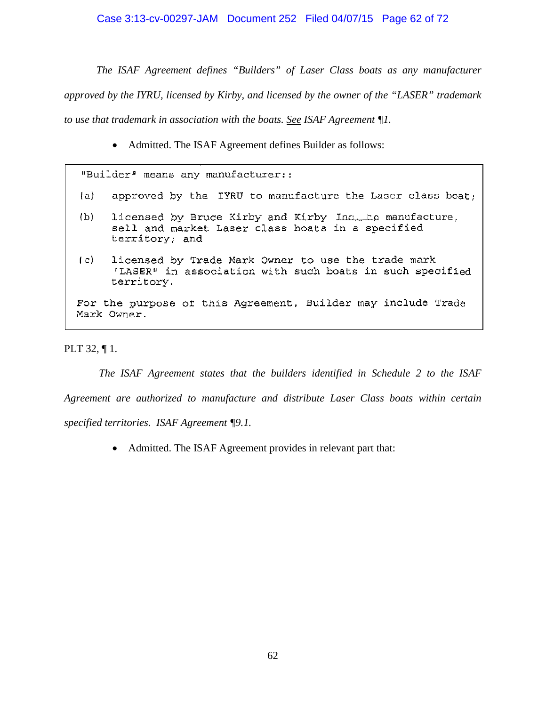*The ISAF Agreement defines "Builders" of Laser Class boats as any manufacturer approved by the IYRU, licensed by Kirby, and licensed by the owner of the "LASER" trademark to use that trademark in association with the boats. See ISAF Agreement ¶1.*

• Admitted. The ISAF Agreement defines Builder as follows:

"Builder" means any manufacturer::

- approved by the IYRU to manufacture the Laser class boat;  $(a)$
- licensed by Bruce Kirby and Kirby Inc. to manufacture,  $(b)$ sell and market Laser class boats in a specified territory; and
- licensed by Trade Mark Owner to use the trade mark  $(c)$ "LASER" in association with such boats in such specified territory.

For the purpose of this Agreement, Builder may include Trade Mark Owner.

PLT 32, ¶ 1.

*The ISAF Agreement states that the builders identified in Schedule 2 to the ISAF Agreement are authorized to manufacture and distribute Laser Class boats within certain specified territories. ISAF Agreement ¶9.1.*

• Admitted. The ISAF Agreement provides in relevant part that: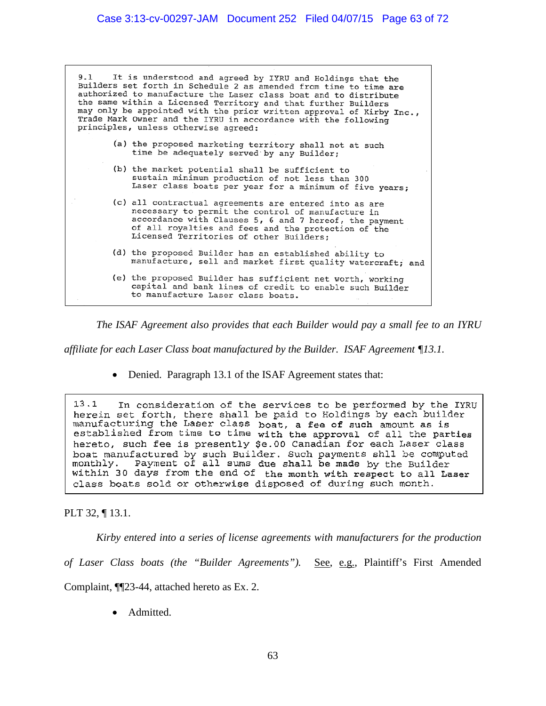It is understood and agreed by IYRU and Holdings that the  $9.1$ Builders set forth in Schedule 2 as amended from time to time are authorized to manufacture the Laser class boat and to distribute the same within a Licensed Territory and that further Builders may only be appointed with the prior written approval of Kirby Inc., Trade Mark Owner and the IYRU in accordance with the following principles, unless otherwise agreed: (a) the proposed marketing territory shall not at such time be adequately served by any Builder; (b) the market potential shall be sufficient to sustain minimum production of not less than 300 Laser class boats per year for a minimum of five years; (c) all contractual agreements are entered into as are necessary to permit the control of manufacture in accordance with Clauses 5, 6 and 7 hereof, the payment of all royalties and fees and the protection of the Licensed Territories of other Builders; (d) the proposed Builder has an established ability to manufacture, sell and market first quality watercraft; and (e) the proposed Builder has sufficient net worth, working capital and bank lines of credit to enable such Builder to manufacture Laser class boats.

*The ISAF Agreement also provides that each Builder would pay a small fee to an IYRU* 

*affiliate for each Laser Class boat manufactured by the Builder. ISAF Agreement ¶13.1.* 

• Denied. Paragraph 13.1 of the ISAF Agreement states that:

 $13.1$ In consideration of the services to be performed by the IYRU herein set forth, there shall be paid to Holdings by each builder<br>manufacturing the Laser class boat, a fee of such amount as is<br>established from time to time with the approval of all the parties hereto, such fee is presently \$e.00 Canadian for each Laser class boat manufactured by such Builder. Such payments shll be computed Payment of all sums due shall be made by the Builder monthly. within 30 days from the end of the month with respect to all Laser class boats sold or otherwise disposed of during such month.

PLT 32, ¶ 13.1.

*Kirby entered into a series of license agreements with manufacturers for the production* 

*of Laser Class boats (the "Builder Agreements").* See, e.g., Plaintiff's First Amended

Complaint, ¶¶23-44, attached hereto as Ex. 2.

• Admitted.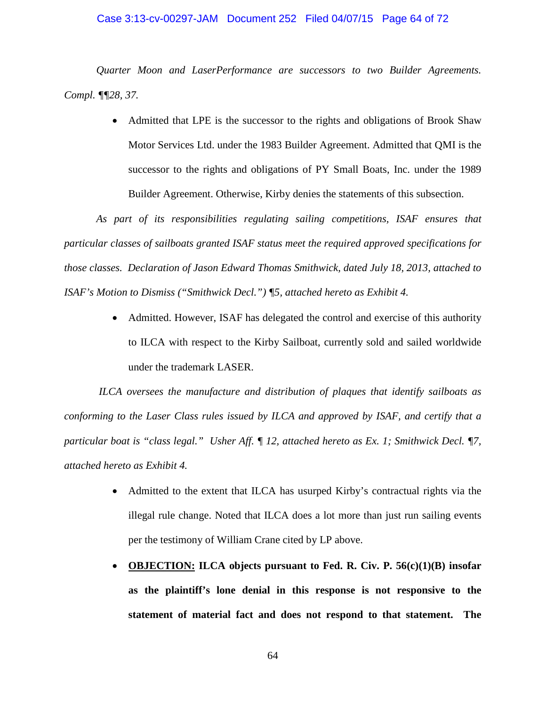#### Case 3:13-cv-00297-JAM Document 252 Filed 04/07/15 Page 64 of 72

*Quarter Moon and LaserPerformance are successors to two Builder Agreements. Compl. ¶¶28, 37.* 

> • Admitted that LPE is the successor to the rights and obligations of Brook Shaw Motor Services Ltd. under the 1983 Builder Agreement. Admitted that QMI is the successor to the rights and obligations of PY Small Boats, Inc. under the 1989 Builder Agreement. Otherwise, Kirby denies the statements of this subsection.

*As part of its responsibilities regulating sailing competitions, ISAF ensures that particular classes of sailboats granted ISAF status meet the required approved specifications for those classes. Declaration of Jason Edward Thomas Smithwick, dated July 18, 2013, attached to ISAF's Motion to Dismiss ("Smithwick Decl.") ¶5, attached hereto as Exhibit 4.* 

> • Admitted. However, ISAF has delegated the control and exercise of this authority to ILCA with respect to the Kirby Sailboat, currently sold and sailed worldwide under the trademark LASER.

*ILCA oversees the manufacture and distribution of plaques that identify sailboats as conforming to the Laser Class rules issued by ILCA and approved by ISAF, and certify that a particular boat is "class legal." Usher Aff. ¶ 12, attached hereto as Ex. 1; Smithwick Decl. ¶7, attached hereto as Exhibit 4.* 

- Admitted to the extent that ILCA has usurped Kirby's contractual rights via the illegal rule change. Noted that ILCA does a lot more than just run sailing events per the testimony of William Crane cited by LP above.
- **OBJECTION: ILCA objects pursuant to Fed. R. Civ. P. 56(c)(1)(B) insofar as the plaintiff's lone denial in this response is not responsive to the statement of material fact and does not respond to that statement. The**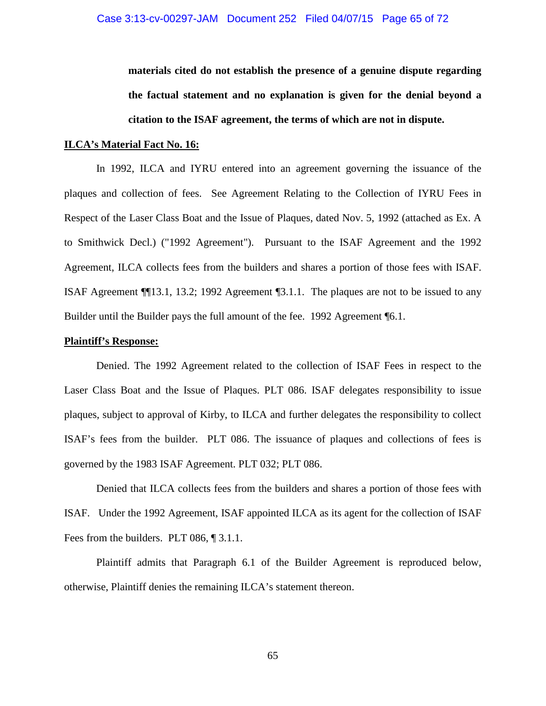**materials cited do not establish the presence of a genuine dispute regarding the factual statement and no explanation is given for the denial beyond a citation to the ISAF agreement, the terms of which are not in dispute.** 

#### **ILCA's Material Fact No. 16:**

In 1992, ILCA and IYRU entered into an agreement governing the issuance of the plaques and collection of fees. See Agreement Relating to the Collection of IYRU Fees in Respect of the Laser Class Boat and the Issue of Plaques, dated Nov. 5, 1992 (attached as Ex. A to Smithwick Decl.) ("1992 Agreement"). Pursuant to the ISAF Agreement and the 1992 Agreement, ILCA collects fees from the builders and shares a portion of those fees with ISAF. ISAF Agreement ¶¶13.1, 13.2; 1992 Agreement ¶3.1.1. The plaques are not to be issued to any Builder until the Builder pays the full amount of the fee. 1992 Agreement ¶6.1.

#### **Plaintiff's Response:**

Denied. The 1992 Agreement related to the collection of ISAF Fees in respect to the Laser Class Boat and the Issue of Plaques. PLT 086. ISAF delegates responsibility to issue plaques, subject to approval of Kirby, to ILCA and further delegates the responsibility to collect ISAF's fees from the builder. PLT 086. The issuance of plaques and collections of fees is governed by the 1983 ISAF Agreement. PLT 032; PLT 086.

Denied that ILCA collects fees from the builders and shares a portion of those fees with ISAF. Under the 1992 Agreement, ISAF appointed ILCA as its agent for the collection of ISAF Fees from the builders. PLT 086, 1 3.1.1.

Plaintiff admits that Paragraph 6.1 of the Builder Agreement is reproduced below, otherwise, Plaintiff denies the remaining ILCA's statement thereon.

65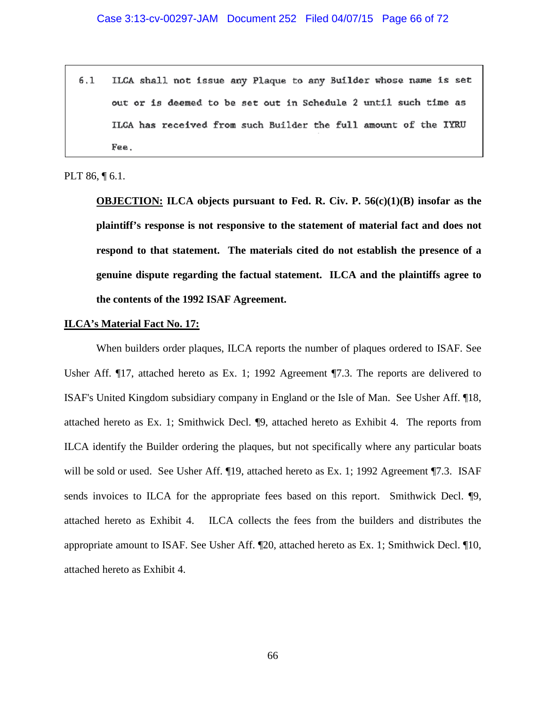$6.1$ ILCA shall not issue any Plaque to any Builder whose name is set out or is deemed to be set out in Schedule 2 until such time as ILCA has received from such Builder the full amount of the IYRU Fee.

### PLT 86, ¶ 6.1.

**OBJECTION: ILCA objects pursuant to Fed. R. Civ. P. 56(c)(1)(B) insofar as the plaintiff's response is not responsive to the statement of material fact and does not respond to that statement. The materials cited do not establish the presence of a genuine dispute regarding the factual statement. ILCA and the plaintiffs agree to the contents of the 1992 ISAF Agreement.** 

#### **ILCA's Material Fact No. 17:**

When builders order plaques, ILCA reports the number of plaques ordered to ISAF. See Usher Aff. ¶17, attached hereto as Ex. 1; 1992 Agreement ¶7.3. The reports are delivered to ISAF's United Kingdom subsidiary company in England or the Isle of Man. See Usher Aff. ¶18, attached hereto as Ex. 1; Smithwick Decl. ¶9, attached hereto as Exhibit 4. The reports from ILCA identify the Builder ordering the plaques, but not specifically where any particular boats will be sold or used. See Usher Aff. [19, attached hereto as Ex. 1; 1992 Agreement [7.3. ISAF sends invoices to ILCA for the appropriate fees based on this report. Smithwick Decl. **[9,** attached hereto as Exhibit 4. ILCA collects the fees from the builders and distributes the appropriate amount to ISAF. See Usher Aff. ¶20, attached hereto as Ex. 1; Smithwick Decl. ¶10, attached hereto as Exhibit 4.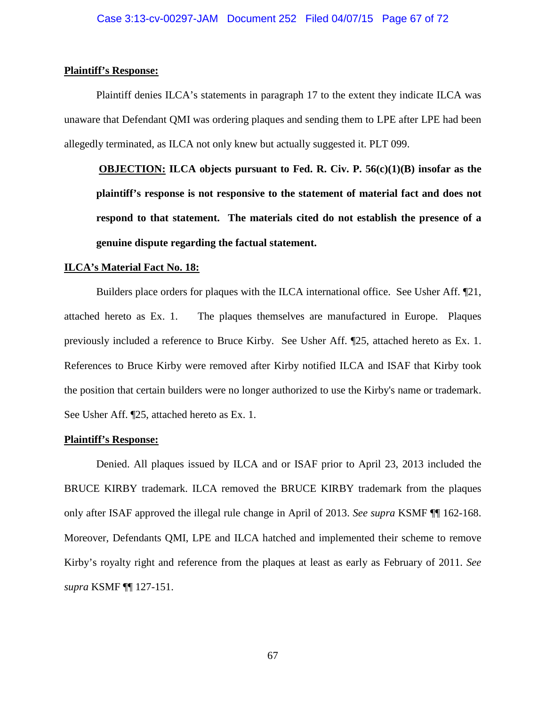#### **Plaintiff's Response:**

Plaintiff denies ILCA's statements in paragraph 17 to the extent they indicate ILCA was unaware that Defendant QMI was ordering plaques and sending them to LPE after LPE had been allegedly terminated, as ILCA not only knew but actually suggested it. PLT 099.

**OBJECTION: ILCA objects pursuant to Fed. R. Civ. P. 56(c)(1)(B) insofar as the plaintiff's response is not responsive to the statement of material fact and does not respond to that statement. The materials cited do not establish the presence of a genuine dispute regarding the factual statement.** 

#### **ILCA's Material Fact No. 18:**

Builders place orders for plaques with the ILCA international office. See Usher Aff. ¶21, attached hereto as Ex. 1. The plaques themselves are manufactured in Europe. Plaques previously included a reference to Bruce Kirby. See Usher Aff. ¶25, attached hereto as Ex. 1. References to Bruce Kirby were removed after Kirby notified ILCA and ISAF that Kirby took the position that certain builders were no longer authorized to use the Kirby's name or trademark. See Usher Aff. ¶25, attached hereto as Ex. 1.

#### **Plaintiff's Response:**

Denied. All plaques issued by ILCA and or ISAF prior to April 23, 2013 included the BRUCE KIRBY trademark. ILCA removed the BRUCE KIRBY trademark from the plaques only after ISAF approved the illegal rule change in April of 2013. *See supra* KSMF ¶¶ 162-168. Moreover, Defendants QMI, LPE and ILCA hatched and implemented their scheme to remove Kirby's royalty right and reference from the plaques at least as early as February of 2011. *See supra* KSMF ¶¶ 127-151.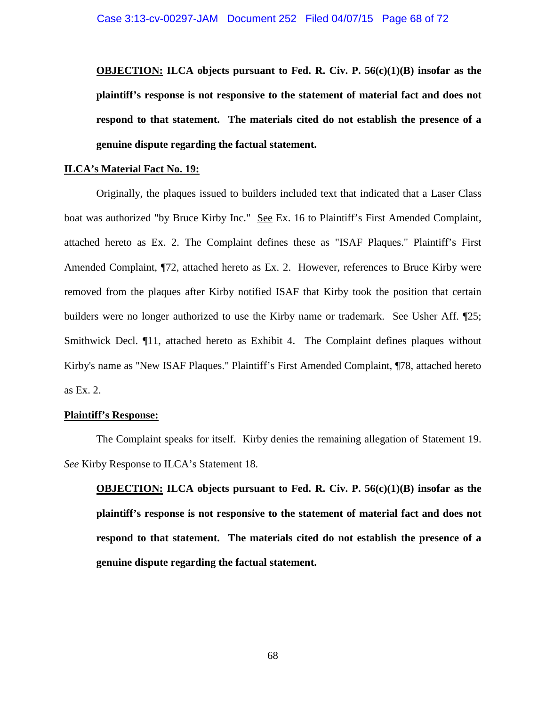**OBJECTION: ILCA objects pursuant to Fed. R. Civ. P. 56(c)(1)(B) insofar as the plaintiff's response is not responsive to the statement of material fact and does not respond to that statement. The materials cited do not establish the presence of a genuine dispute regarding the factual statement.** 

### **ILCA's Material Fact No. 19:**

Originally, the plaques issued to builders included text that indicated that a Laser Class boat was authorized "by Bruce Kirby Inc." See Ex. 16 to Plaintiff's First Amended Complaint, attached hereto as Ex. 2. The Complaint defines these as "ISAF Plaques." Plaintiff's First Amended Complaint, ¶72, attached hereto as Ex. 2. However, references to Bruce Kirby were removed from the plaques after Kirby notified ISAF that Kirby took the position that certain builders were no longer authorized to use the Kirby name or trademark. See Usher Aff. ¶25; Smithwick Decl. ¶11, attached hereto as Exhibit 4. The Complaint defines plaques without Kirby's name as ''New ISAF Plaques." Plaintiff's First Amended Complaint, ¶78, attached hereto as Ex. 2.

#### **Plaintiff's Response:**

The Complaint speaks for itself. Kirby denies the remaining allegation of Statement 19. *See* Kirby Response to ILCA's Statement 18.

**OBJECTION: ILCA objects pursuant to Fed. R. Civ. P. 56(c)(1)(B) insofar as the plaintiff's response is not responsive to the statement of material fact and does not respond to that statement. The materials cited do not establish the presence of a genuine dispute regarding the factual statement.**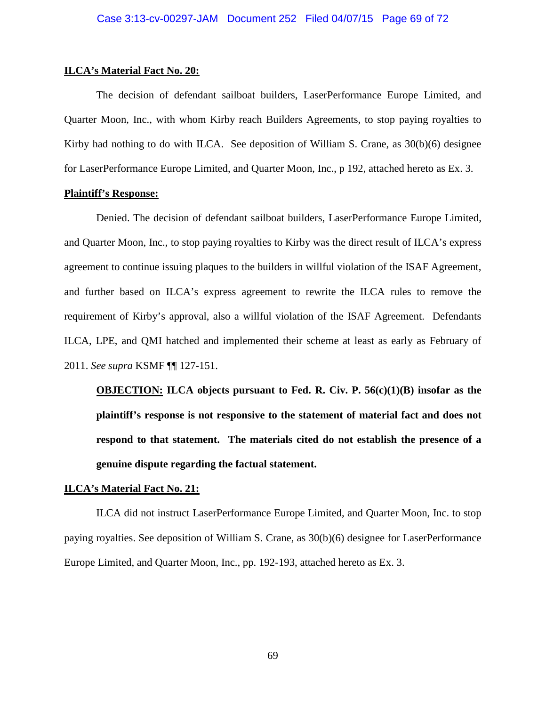#### **ILCA's Material Fact No. 20:**

The decision of defendant sailboat builders, LaserPerformance Europe Limited, and Quarter Moon, Inc., with whom Kirby reach Builders Agreements, to stop paying royalties to Kirby had nothing to do with ILCA. See deposition of William S. Crane, as  $30(b)(6)$  designee for LaserPerformance Europe Limited, and Quarter Moon, Inc., p 192, attached hereto as Ex. 3.

#### **Plaintiff's Response:**

Denied. The decision of defendant sailboat builders, LaserPerformance Europe Limited, and Quarter Moon, Inc., to stop paying royalties to Kirby was the direct result of ILCA's express agreement to continue issuing plaques to the builders in willful violation of the ISAF Agreement, and further based on ILCA's express agreement to rewrite the ILCA rules to remove the requirement of Kirby's approval, also a willful violation of the ISAF Agreement. Defendants ILCA, LPE, and QMI hatched and implemented their scheme at least as early as February of 2011. *See supra* KSMF ¶¶ 127-151.

**OBJECTION: ILCA objects pursuant to Fed. R. Civ. P. 56(c)(1)(B) insofar as the plaintiff's response is not responsive to the statement of material fact and does not respond to that statement. The materials cited do not establish the presence of a genuine dispute regarding the factual statement.** 

#### **ILCA's Material Fact No. 21:**

ILCA did not instruct LaserPerformance Europe Limited, and Quarter Moon, Inc. to stop paying royalties. See deposition of William S. Crane, as 30(b)(6) designee for LaserPerformance Europe Limited, and Quarter Moon, Inc., pp. 192-193, attached hereto as Ex. 3.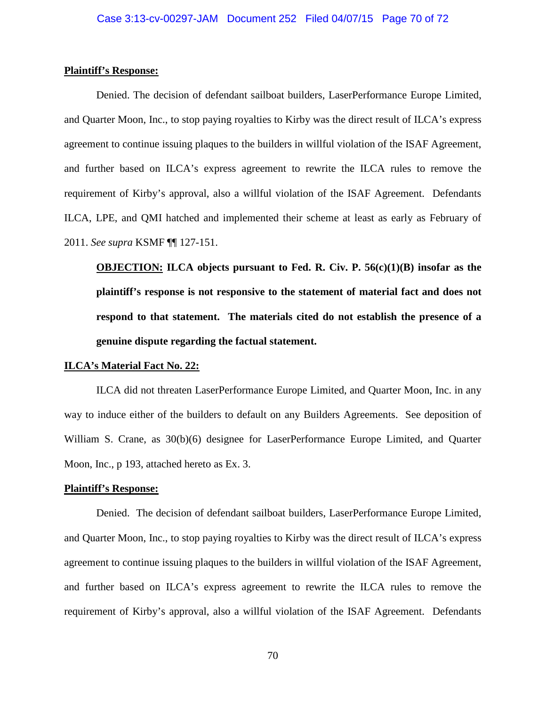#### **Plaintiff's Response:**

Denied. The decision of defendant sailboat builders, LaserPerformance Europe Limited, and Quarter Moon, Inc., to stop paying royalties to Kirby was the direct result of ILCA's express agreement to continue issuing plaques to the builders in willful violation of the ISAF Agreement, and further based on ILCA's express agreement to rewrite the ILCA rules to remove the requirement of Kirby's approval, also a willful violation of the ISAF Agreement. Defendants ILCA, LPE, and QMI hatched and implemented their scheme at least as early as February of 2011. *See supra* KSMF ¶¶ 127-151.

**OBJECTION: ILCA objects pursuant to Fed. R. Civ. P. 56(c)(1)(B) insofar as the plaintiff's response is not responsive to the statement of material fact and does not respond to that statement. The materials cited do not establish the presence of a genuine dispute regarding the factual statement.** 

#### **ILCA's Material Fact No. 22:**

ILCA did not threaten LaserPerformance Europe Limited, and Quarter Moon, Inc. in any way to induce either of the builders to default on any Builders Agreements. See deposition of William S. Crane, as 30(b)(6) designee for LaserPerformance Europe Limited, and Quarter Moon, Inc., p 193, attached hereto as Ex. 3.

#### **Plaintiff's Response:**

Denied. The decision of defendant sailboat builders, LaserPerformance Europe Limited, and Quarter Moon, Inc., to stop paying royalties to Kirby was the direct result of ILCA's express agreement to continue issuing plaques to the builders in willful violation of the ISAF Agreement, and further based on ILCA's express agreement to rewrite the ILCA rules to remove the requirement of Kirby's approval, also a willful violation of the ISAF Agreement. Defendants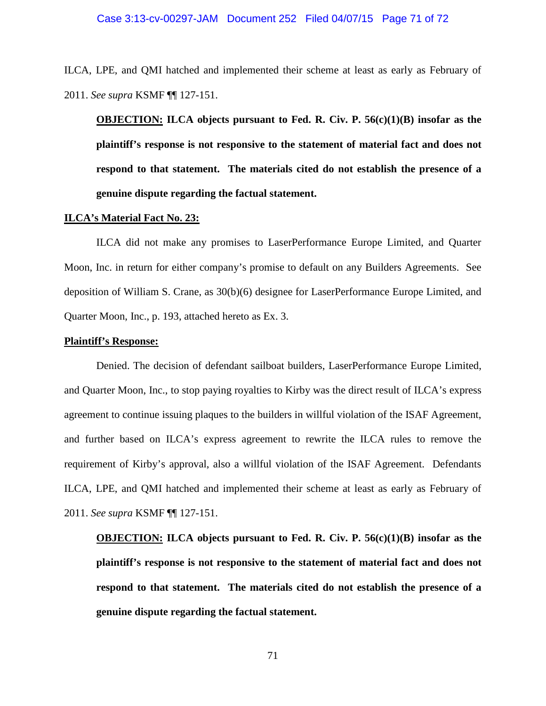#### Case 3:13-cv-00297-JAM Document 252 Filed 04/07/15 Page 71 of 72

ILCA, LPE, and QMI hatched and implemented their scheme at least as early as February of 2011. *See supra* KSMF ¶¶ 127-151.

**OBJECTION: ILCA objects pursuant to Fed. R. Civ. P. 56(c)(1)(B) insofar as the plaintiff's response is not responsive to the statement of material fact and does not respond to that statement. The materials cited do not establish the presence of a genuine dispute regarding the factual statement.** 

#### **ILCA's Material Fact No. 23:**

ILCA did not make any promises to LaserPerformance Europe Limited, and Quarter Moon, Inc. in return for either company's promise to default on any Builders Agreements. See deposition of William S. Crane, as 30(b)(6) designee for LaserPerformance Europe Limited, and Quarter Moon, Inc., p. 193, attached hereto as Ex. 3.

#### **Plaintiff's Response:**

Denied. The decision of defendant sailboat builders, LaserPerformance Europe Limited, and Quarter Moon, Inc., to stop paying royalties to Kirby was the direct result of ILCA's express agreement to continue issuing plaques to the builders in willful violation of the ISAF Agreement, and further based on ILCA's express agreement to rewrite the ILCA rules to remove the requirement of Kirby's approval, also a willful violation of the ISAF Agreement. Defendants ILCA, LPE, and QMI hatched and implemented their scheme at least as early as February of 2011. *See supra* KSMF ¶¶ 127-151.

**OBJECTION: ILCA objects pursuant to Fed. R. Civ. P. 56(c)(1)(B) insofar as the plaintiff's response is not responsive to the statement of material fact and does not respond to that statement. The materials cited do not establish the presence of a genuine dispute regarding the factual statement.** 

71